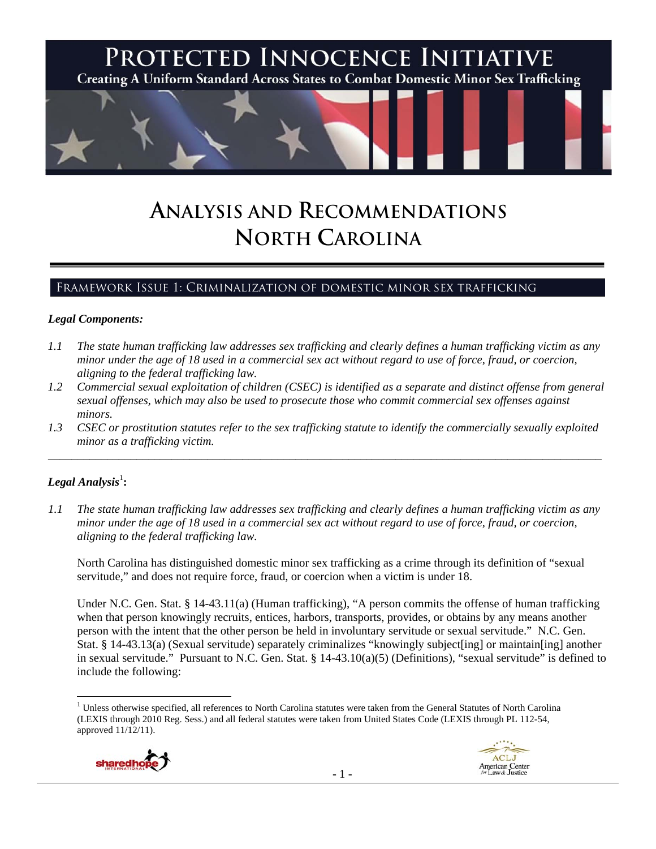

# **ANALYSIS AND RECOMMENDATIONS NORTH CAROLINA**

# Framework Issue 1: Criminalization of domestic minor sex trafficking

#### *Legal Components:*

- *1.1 The state human trafficking law addresses sex trafficking and clearly defines a human trafficking victim as any minor under the age of 18 used in a commercial sex act without regard to use of force, fraud, or coercion, aligning to the federal trafficking law.*
- *1.2 Commercial sexual exploitation of children (CSEC) is identified as a separate and distinct offense from general sexual offenses, which may also be used to prosecute those who commit commercial sex offenses against minors.*
- *1.3 CSEC or prostitution statutes refer to the sex trafficking statute to identify the commercially sexually exploited minor as a trafficking victim.*  \_\_\_\_\_\_\_\_\_\_\_\_\_\_\_\_\_\_\_\_\_\_\_\_\_\_\_\_\_\_\_\_\_\_\_\_\_\_\_\_\_\_\_\_\_\_\_\_\_\_\_\_\_\_\_\_\_\_\_\_\_\_\_\_\_\_\_\_\_\_\_\_\_\_\_\_\_\_\_\_\_\_\_\_\_\_\_\_\_\_\_\_\_\_

# $\bm{\mathit{Legal\, Analysis^1}}$ :

*1.1 The state human trafficking law addresses sex trafficking and clearly defines a human trafficking victim as any minor under the age of 18 used in a commercial sex act without regard to use of force, fraud, or coercion, aligning to the federal trafficking law.*

North Carolina has distinguished domestic minor sex trafficking as a crime through its definition of "sexual servitude," and does not require force, fraud, or coercion when a victim is under 18.

Under N.C. Gen. Stat. § 14-43.11(a) (Human trafficking), "A person commits the offense of human trafficking when that person knowingly recruits, entices, harbors, transports, provides, or obtains by any means another person with the intent that the other person be held in involuntary servitude or sexual servitude." N.C. Gen. Stat. § 14-43.13(a) (Sexual servitude) separately criminalizes "knowingly subject[ing] or maintain[ing] another in sexual servitude." Pursuant to N.C. Gen. Stat. § 14-43.10(a)(5) (Definitions), "sexual servitude" is defined to include the following:

<sup>&</sup>lt;sup>1</sup> Unless otherwise specified, all references to North Carolina statutes were taken from the General Statutes of North Carolina (LEXIS through 2010 Reg. Sess.) and all federal statutes were taken from United States Code (LEXIS through PL 112-54, approved 11/12/11).



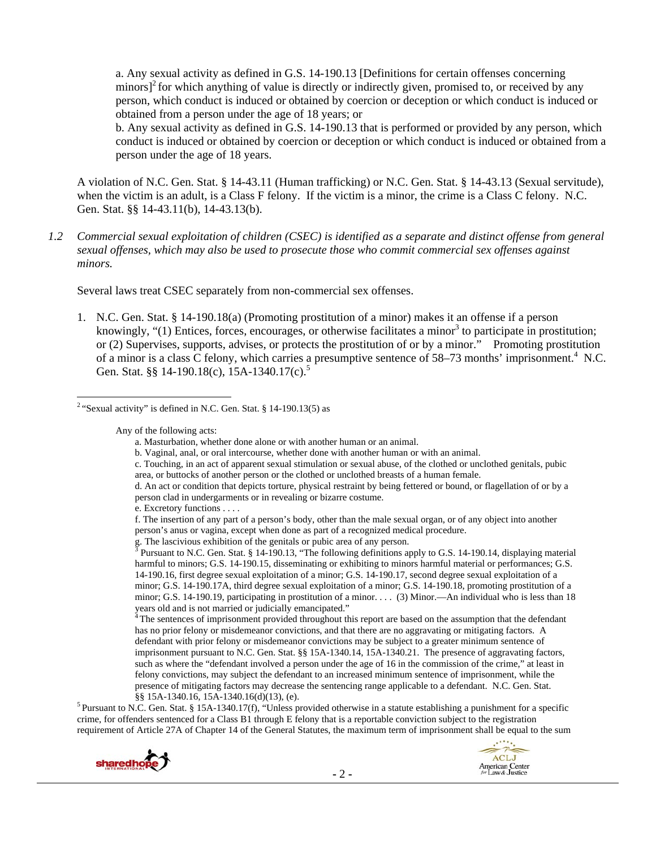a. Any sexual activity as defined in G.S. 14-190.13 [Definitions for certain offenses concerning minors] $^2$  for which anything of value is directly or indirectly given, promised to, or received by any person, which conduct is induced or obtained by coercion or deception or which conduct is induced or obtained from a person under the age of 18 years; or

b. Any sexual activity as defined in G.S. 14-190.13 that is performed or provided by any person, which conduct is induced or obtained by coercion or deception or which conduct is induced or obtained from a person under the age of 18 years.

A violation of N.C. Gen. Stat. § 14-43.11 (Human trafficking) or N.C. Gen. Stat. § 14-43.13 (Sexual servitude), when the victim is an adult, is a Class F felony. If the victim is a minor, the crime is a Class C felony. N.C. Gen. Stat. §§ 14-43.11(b), 14-43.13(b).

*1.2 Commercial sexual exploitation of children (CSEC) is identified as a separate and distinct offense from general sexual offenses, which may also be used to prosecute those who commit commercial sex offenses against minors.*

Several laws treat CSEC separately from non-commercial sex offenses.

1. N.C. Gen. Stat. § 14-190.18(a) (Promoting prostitution of a minor) makes it an offense if a person knowingly, "(1) Entices, forces, encourages, or otherwise facilitates a minor<sup>3</sup> to participate in prostitution; or (2) Supervises, supports, advises, or protects the prostitution of or by a minor." Promoting prostitution of a minor is a class C felony, which carries a presumptive sentence of 58–73 months' imprisonment.<sup>4</sup> N.C. Gen. Stat. §§ 14-190.18(c), 15A-1340.17(c).<sup>5</sup>

Any of the following acts:

- b. Vaginal, anal, or oral intercourse, whether done with another human or with an animal.
- c. Touching, in an act of apparent sexual stimulation or sexual abuse, of the clothed or unclothed genitals, pubic area, or buttocks of another person or the clothed or unclothed breasts of a human female.
- d. An act or condition that depicts torture, physical restraint by being fettered or bound, or flagellation of or by a person clad in undergarments or in revealing or bizarre costume.

e. Excretory functions . . . .

g. The lascivious exhibition of the genitals or pubic area of any person.<br><sup>3</sup> Pursuant to N.C. Gan, Stat.  $8.14, 100, 12$ , "The following definitions and

 Pursuant to N.C. Gen. Stat. § 14-190.13, "The following definitions apply to G.S. 14-190.14, displaying material harmful to minors; G.S. 14-190.15, disseminating or exhibiting to minors harmful material or performances; G.S. 14-190.16, first degree sexual exploitation of a minor; G.S. 14-190.17, second degree sexual exploitation of a minor; G.S. 14-190.17A, third degree sexual exploitation of a minor; G.S. 14-190.18, promoting prostitution of a minor; G.S. 14-190.19, participating in prostitution of a minor. . . . (3) Minor.—An individual who is less than 18 years old and is not married or judicially emancipated."

<sup>4</sup> The sentences of imprisonment provided throughout this report are based on the assumption that the defendant has no prior felony or misdemeanor convictions, and that there are no aggravating or mitigating factors. A defendant with prior felony or misdemeanor convictions may be subject to a greater minimum sentence of imprisonment pursuant to N.C. Gen. Stat. §§ 15A-1340.14, 15A-1340.21. The presence of aggravating factors, such as where the "defendant involved a person under the age of 16 in the commission of the crime," at least in felony convictions, may subject the defendant to an increased minimum sentence of imprisonment, while the presence of mitigating factors may decrease the sentencing range applicable to a defendant. N.C. Gen. Stat.

§§ 15A-1340.16, 15A-1340.16(d)(13), (e).<br><sup>5</sup> Pursuant to N.C. Gen. Stat. § 15A-1340.17(f), "Unless provided otherwise in a statute establishing a punishment for a specific crime, for offenders sentenced for a Class B1 through E felony that is a reportable conviction subject to the registration requirement of Article 27A of Chapter 14 of the General Statutes, the maximum term of imprisonment shall be equal to the sum





 <sup>2</sup> "Sexual activity" is defined in N.C. Gen. Stat. § 14-190.13(5) as

a. Masturbation, whether done alone or with another human or an animal.

f. The insertion of any part of a person's body, other than the male sexual organ, or of any object into another person's anus or vagina, except when done as part of a recognized medical procedure.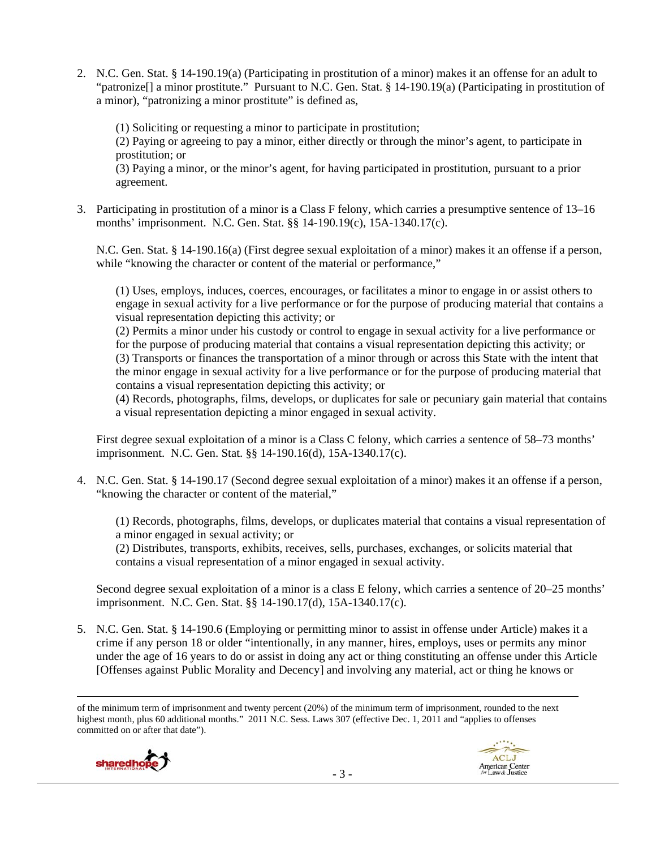2. N.C. Gen. Stat. § 14-190.19(a) (Participating in prostitution of a minor) makes it an offense for an adult to "patronize[] a minor prostitute." Pursuant to N.C. Gen. Stat. § 14-190.19(a) (Participating in prostitution of a minor), "patronizing a minor prostitute" is defined as,

(1) Soliciting or requesting a minor to participate in prostitution;

(2) Paying or agreeing to pay a minor, either directly or through the minor's agent, to participate in prostitution; or

(3) Paying a minor, or the minor's agent, for having participated in prostitution, pursuant to a prior agreement.

3. Participating in prostitution of a minor is a Class F felony, which carries a presumptive sentence of 13–16 months' imprisonment. N.C. Gen. Stat. §§ 14-190.19(c), 15A-1340.17(c).

N.C. Gen. Stat. § 14-190.16(a) (First degree sexual exploitation of a minor) makes it an offense if a person, while "knowing the character or content of the material or performance,"

(1) Uses, employs, induces, coerces, encourages, or facilitates a minor to engage in or assist others to engage in sexual activity for a live performance or for the purpose of producing material that contains a visual representation depicting this activity; or

(2) Permits a minor under his custody or control to engage in sexual activity for a live performance or for the purpose of producing material that contains a visual representation depicting this activity; or (3) Transports or finances the transportation of a minor through or across this State with the intent that the minor engage in sexual activity for a live performance or for the purpose of producing material that contains a visual representation depicting this activity; or

(4) Records, photographs, films, develops, or duplicates for sale or pecuniary gain material that contains a visual representation depicting a minor engaged in sexual activity.

First degree sexual exploitation of a minor is a Class C felony, which carries a sentence of 58–73 months' imprisonment. N.C. Gen. Stat. §§ 14-190.16(d), 15A-1340.17(c).

4. N.C. Gen. Stat. § 14-190.17 (Second degree sexual exploitation of a minor) makes it an offense if a person, "knowing the character or content of the material,"

(1) Records, photographs, films, develops, or duplicates material that contains a visual representation of a minor engaged in sexual activity; or

(2) Distributes, transports, exhibits, receives, sells, purchases, exchanges, or solicits material that contains a visual representation of a minor engaged in sexual activity.

Second degree sexual exploitation of a minor is a class E felony, which carries a sentence of 20–25 months' imprisonment. N.C. Gen. Stat. §§ 14-190.17(d), 15A-1340.17(c).

5. N.C. Gen. Stat. § 14-190.6 (Employing or permitting minor to assist in offense under Article) makes it a crime if any person 18 or older "intentionally, in any manner, hires, employs, uses or permits any minor under the age of 16 years to do or assist in doing any act or thing constituting an offense under this Article [Offenses against Public Morality and Decency] and involving any material, act or thing he knows or

of the minimum term of imprisonment and twenty percent (20%) of the minimum term of imprisonment, rounded to the next highest month, plus 60 additional months." 2011 N.C. Sess. Laws 307 (effective Dec. 1, 2011 and "applies to offenses committed on or after that date").

<u> Andrewski politika (za obrazu pod predsjednika u predsjednika u predsjednika u predsjednika (za obrazu pod p</u>

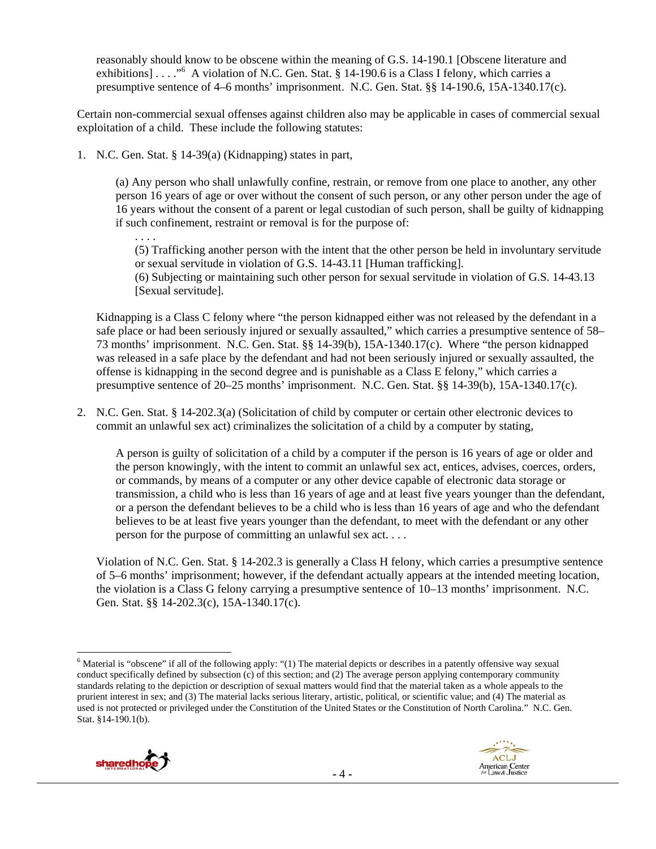reasonably should know to be obscene within the meaning of G.S. 14-190.1 [Obscene literature and exhibitions] . . . ."<sup>6</sup> A violation of N.C. Gen. Stat. § 14-190.6 is a Class I felony, which carries a presumptive sentence of 4–6 months' imprisonment. N.C. Gen. Stat. §§ 14-190.6, 15A-1340.17(c).

Certain non-commercial sexual offenses against children also may be applicable in cases of commercial sexual exploitation of a child. These include the following statutes:

1. N.C. Gen. Stat. § 14-39(a) (Kidnapping) states in part,

(a) Any person who shall unlawfully confine, restrain, or remove from one place to another, any other person 16 years of age or over without the consent of such person, or any other person under the age of 16 years without the consent of a parent or legal custodian of such person, shall be guilty of kidnapping if such confinement, restraint or removal is for the purpose of:

. . . . (5) Trafficking another person with the intent that the other person be held in involuntary servitude or sexual servitude in violation of G.S. 14-43.11 [Human trafficking].

(6) Subjecting or maintaining such other person for sexual servitude in violation of G.S. 14-43.13 [Sexual servitude].

Kidnapping is a Class C felony where "the person kidnapped either was not released by the defendant in a safe place or had been seriously injured or sexually assaulted," which carries a presumptive sentence of 58– 73 months' imprisonment. N.C. Gen. Stat. §§ 14-39(b), 15A-1340.17(c). Where "the person kidnapped was released in a safe place by the defendant and had not been seriously injured or sexually assaulted, the offense is kidnapping in the second degree and is punishable as a Class E felony," which carries a presumptive sentence of 20–25 months' imprisonment. N.C. Gen. Stat. §§ 14-39(b), 15A-1340.17(c).

2. N.C. Gen. Stat. § 14-202.3(a) (Solicitation of child by computer or certain other electronic devices to commit an unlawful sex act) criminalizes the solicitation of a child by a computer by stating,

A person is guilty of solicitation of a child by a computer if the person is 16 years of age or older and the person knowingly, with the intent to commit an unlawful sex act, entices, advises, coerces, orders, or commands, by means of a computer or any other device capable of electronic data storage or transmission, a child who is less than 16 years of age and at least five years younger than the defendant, or a person the defendant believes to be a child who is less than 16 years of age and who the defendant believes to be at least five years younger than the defendant, to meet with the defendant or any other person for the purpose of committing an unlawful sex act. . . .

Violation of N.C. Gen. Stat. § 14-202.3 is generally a Class H felony, which carries a presumptive sentence of 5–6 months' imprisonment; however, if the defendant actually appears at the intended meeting location, the violation is a Class G felony carrying a presumptive sentence of 10–13 months' imprisonment. N.C. Gen. Stat. §§ 14-202.3(c), 15A-1340.17(c).

 <sup>6</sup> Material is "obscene" if all of the following apply: "(1) The material depicts or describes in a patently offensive way sexual conduct specifically defined by subsection (c) of this section; and (2) The average person applying contemporary community standards relating to the depiction or description of sexual matters would find that the material taken as a whole appeals to the prurient interest in sex; and (3) The material lacks serious literary, artistic, political, or scientific value; and (4) The material as used is not protected or privileged under the Constitution of the United States or the Constitution of North Carolina." N.C. Gen. Stat. §14-190.1(b).



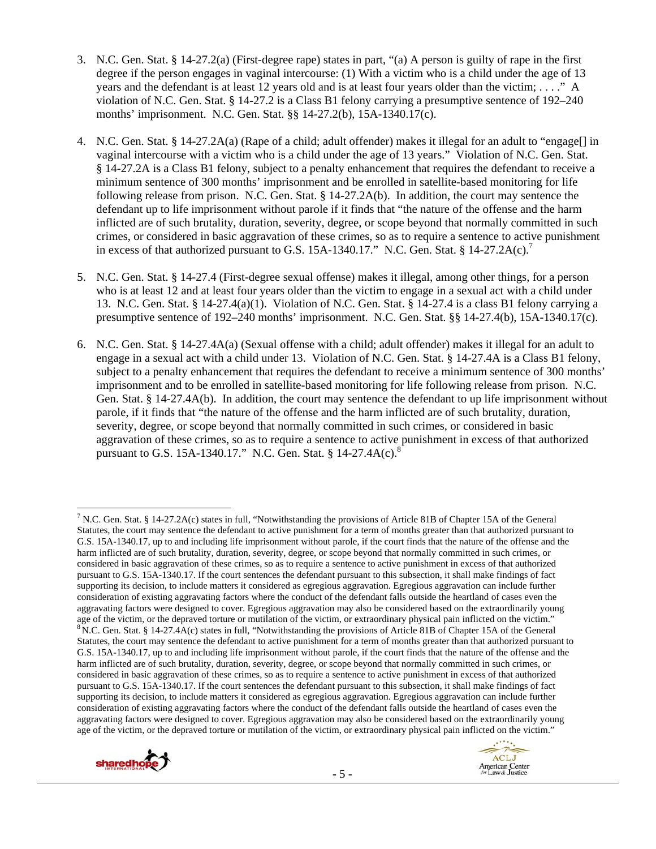- 3. N.C. Gen. Stat. § 14-27.2(a) (First-degree rape) states in part, "(a) A person is guilty of rape in the first degree if the person engages in vaginal intercourse: (1) With a victim who is a child under the age of 13 years and the defendant is at least 12 years old and is at least four years older than the victim; . . . ." A violation of N.C. Gen. Stat. § 14-27.2 is a Class B1 felony carrying a presumptive sentence of 192–240 months' imprisonment. N.C. Gen. Stat. §§ 14-27.2(b), 15A-1340.17(c).
- 4. N.C. Gen. Stat. § 14-27.2A(a) (Rape of a child; adult offender) makes it illegal for an adult to "engage[] in vaginal intercourse with a victim who is a child under the age of 13 years." Violation of N.C. Gen. Stat. § 14-27.2A is a Class B1 felony, subject to a penalty enhancement that requires the defendant to receive a minimum sentence of 300 months' imprisonment and be enrolled in satellite-based monitoring for life following release from prison. N.C. Gen. Stat. § 14-27.2A(b). In addition, the court may sentence the defendant up to life imprisonment without parole if it finds that "the nature of the offense and the harm inflicted are of such brutality, duration, severity, degree, or scope beyond that normally committed in such crimes, or considered in basic aggravation of these crimes, so as to require a sentence to active punishment in excess of that authorized pursuant to G.S. 15A-1340.17." N.C. Gen. Stat. § 14-27.2A(c).<sup>7</sup>
- 5. N.C. Gen. Stat. § 14-27.4 (First-degree sexual offense) makes it illegal, among other things, for a person who is at least 12 and at least four years older than the victim to engage in a sexual act with a child under 13. N.C. Gen. Stat. § 14-27.4(a)(1). Violation of N.C. Gen. Stat. § 14-27.4 is a class B1 felony carrying a presumptive sentence of 192–240 months' imprisonment. N.C. Gen. Stat. §§ 14-27.4(b), 15A-1340.17(c).
- 6. N.C. Gen. Stat. § 14-27.4A(a) (Sexual offense with a child; adult offender) makes it illegal for an adult to engage in a sexual act with a child under 13. Violation of N.C. Gen. Stat. § 14-27.4A is a Class B1 felony, subject to a penalty enhancement that requires the defendant to receive a minimum sentence of 300 months' imprisonment and to be enrolled in satellite-based monitoring for life following release from prison. N.C. Gen. Stat. § 14-27.4A(b). In addition, the court may sentence the defendant to up life imprisonment without parole, if it finds that "the nature of the offense and the harm inflicted are of such brutality, duration, severity, degree, or scope beyond that normally committed in such crimes, or considered in basic aggravation of these crimes, so as to require a sentence to active punishment in excess of that authorized pursuant to G.S. 15A-1340.17." N.C. Gen. Stat. § 14-27.4A $(c)$ .<sup>8</sup>

<sup>&</sup>lt;sup>7</sup> N.C. Gen. Stat. § 14-27.2A(c) states in full, "Notwithstanding the provisions of Article 81B of Chapter 15A of the General Statutes, the court may sentence the defendant to active punishment for a term of months greater than that authorized pursuant to G.S. 15A-1340.17, up to and including life imprisonment without parole, if the court finds that the nature of the offense and the harm inflicted are of such brutality, duration, severity, degree, or scope beyond that normally committed in such crimes, or considered in basic aggravation of these crimes, so as to require a sentence to active punishment in excess of that authorized pursuant to G.S. 15A-1340.17. If the court sentences the defendant pursuant to this subsection, it shall make findings of fact supporting its decision, to include matters it considered as egregious aggravation. Egregious aggravation can include further consideration of existing aggravating factors where the conduct of the defendant falls outside the heartland of cases even the aggravating factors were designed to cover. Egregious aggravation may also be considered based on the extraordinarily young age of the victim, or the depraved torture or mutilation of the victim, or extraordinary physical pain inflicted on the victim."<br><sup>8</sup> N.C. Gen. Stat. § 14-27.4A(c) states in full, "Notwithstanding the provisions of Article Statutes, the court may sentence the defendant to active punishment for a term of months greater than that authorized pursuant to G.S. 15A-1340.17, up to and including life imprisonment without parole, if the court finds that the nature of the offense and the harm inflicted are of such brutality, duration, severity, degree, or scope beyond that normally committed in such crimes, or considered in basic aggravation of these crimes, so as to require a sentence to active punishment in excess of that authorized pursuant to G.S. 15A-1340.17. If the court sentences the defendant pursuant to this subsection, it shall make findings of fact supporting its decision, to include matters it considered as egregious aggravation. Egregious aggravation can include further consideration of existing aggravating factors where the conduct of the defendant falls outside the heartland of cases even the aggravating factors were designed to cover. Egregious aggravation may also be considered based on the extraordinarily young age of the victim, or the depraved torture or mutilation of the victim, or extraordinary physical pain inflicted on the victim."



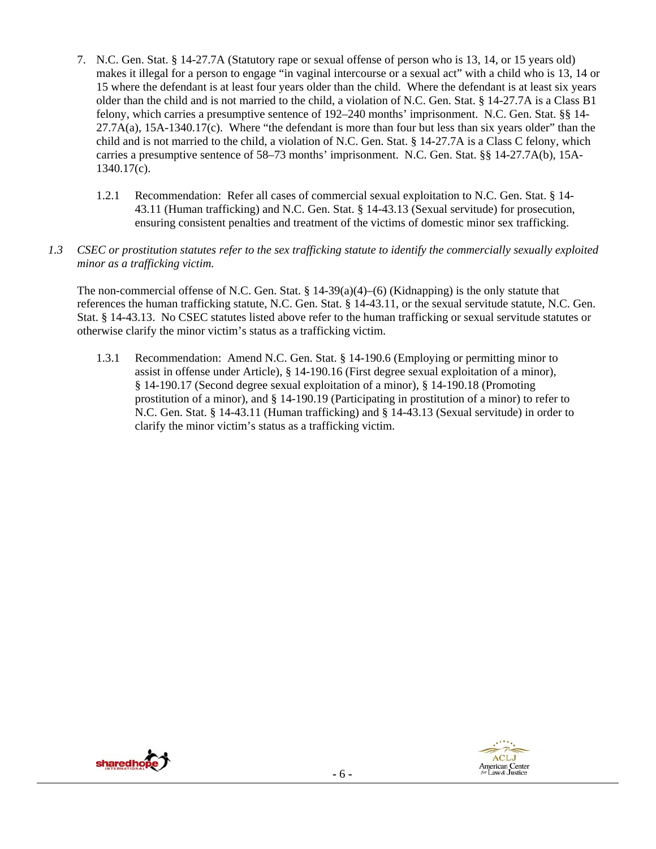- 7. N.C. Gen. Stat. § 14-27.7A (Statutory rape or sexual offense of person who is 13, 14, or 15 years old) makes it illegal for a person to engage "in vaginal intercourse or a sexual act" with a child who is 13, 14 or 15 where the defendant is at least four years older than the child. Where the defendant is at least six years older than the child and is not married to the child, a violation of N.C. Gen. Stat. § 14-27.7A is a Class B1 felony, which carries a presumptive sentence of 192–240 months' imprisonment. N.C. Gen. Stat. §§ 14-  $27.7A(a)$ ,  $15A-1340.17(c)$ . Where "the defendant is more than four but less than six years older" than the child and is not married to the child, a violation of N.C. Gen. Stat. § 14-27.7A is a Class C felony, which carries a presumptive sentence of 58–73 months' imprisonment. N.C. Gen. Stat. §§ 14-27.7A(b), 15A-1340.17(c).
	- 1.2.1 Recommendation: Refer all cases of commercial sexual exploitation to N.C. Gen. Stat. § 14- 43.11 (Human trafficking) and N.C. Gen. Stat. § 14-43.13 (Sexual servitude) for prosecution, ensuring consistent penalties and treatment of the victims of domestic minor sex trafficking.
- *1.3 CSEC or prostitution statutes refer to the sex trafficking statute to identify the commercially sexually exploited minor as a trafficking victim.*

The non-commercial offense of N.C. Gen. Stat. §  $14-39(a)(4)$ –(6) (Kidnapping) is the only statute that references the human trafficking statute, N.C. Gen. Stat. § 14-43.11, or the sexual servitude statute, N.C. Gen. Stat. § 14-43.13. No CSEC statutes listed above refer to the human trafficking or sexual servitude statutes or otherwise clarify the minor victim's status as a trafficking victim.

1.3.1 Recommendation: Amend N.C. Gen. Stat. § 14-190.6 (Employing or permitting minor to assist in offense under Article), § 14-190.16 (First degree sexual exploitation of a minor), § 14-190.17 (Second degree sexual exploitation of a minor), § 14-190.18 (Promoting prostitution of a minor), and § 14-190.19 (Participating in prostitution of a minor) to refer to N.C. Gen. Stat. § 14-43.11 (Human trafficking) and § 14-43.13 (Sexual servitude) in order to clarify the minor victim's status as a trafficking victim.



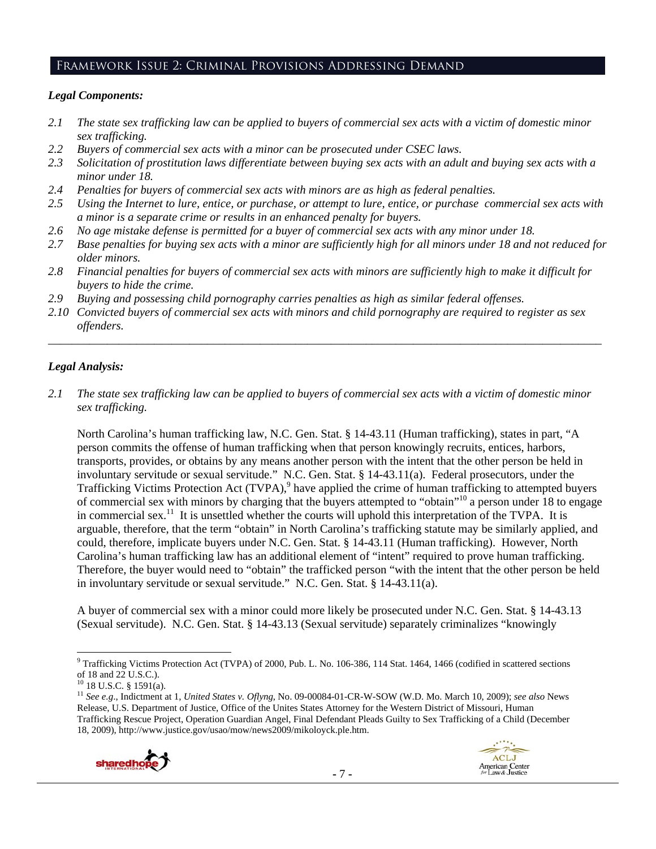# Framework Issue 2: Criminal Provisions Addressing Demand

## *Legal Components:*

- *2.1 The state sex trafficking law can be applied to buyers of commercial sex acts with a victim of domestic minor sex trafficking.*
- *2.2 Buyers of commercial sex acts with a minor can be prosecuted under CSEC laws.*
- *2.3 Solicitation of prostitution laws differentiate between buying sex acts with an adult and buying sex acts with a minor under 18.*
- *2.4 Penalties for buyers of commercial sex acts with minors are as high as federal penalties.*
- *2.5 Using the Internet to lure, entice, or purchase, or attempt to lure, entice, or purchase commercial sex acts with a minor is a separate crime or results in an enhanced penalty for buyers.*
- *2.6 No age mistake defense is permitted for a buyer of commercial sex acts with any minor under 18.*
- *2.7 Base penalties for buying sex acts with a minor are sufficiently high for all minors under 18 and not reduced for older minors.*
- *2.8 Financial penalties for buyers of commercial sex acts with minors are sufficiently high to make it difficult for buyers to hide the crime.*
- *2.9 Buying and possessing child pornography carries penalties as high as similar federal offenses.*
- *2.10 Convicted buyers of commercial sex acts with minors and child pornography are required to register as sex offenders.*

\_\_\_\_\_\_\_\_\_\_\_\_\_\_\_\_\_\_\_\_\_\_\_\_\_\_\_\_\_\_\_\_\_\_\_\_\_\_\_\_\_\_\_\_\_\_\_\_\_\_\_\_\_\_\_\_\_\_\_\_\_\_\_\_\_\_\_\_\_\_\_\_\_\_\_\_\_\_\_\_\_\_\_\_\_\_\_\_\_\_\_\_\_\_

# *Legal Analysis:*

*2.1 The state sex trafficking law can be applied to buyers of commercial sex acts with a victim of domestic minor sex trafficking.* 

North Carolina's human trafficking law, N.C. Gen. Stat. § 14-43.11 (Human trafficking), states in part, "A person commits the offense of human trafficking when that person knowingly recruits, entices, harbors, transports, provides, or obtains by any means another person with the intent that the other person be held in involuntary servitude or sexual servitude." N.C. Gen. Stat. § 14-43.11(a). Federal prosecutors, under the Trafficking Victims Protection Act (TVPA),<sup>9</sup> have applied the crime of human trafficking to attempted buyers of commercial sex with minors by charging that the buyers attempted to "obtain"10 a person under 18 to engage in commercial sex.<sup>11</sup> It is unsettled whether the courts will uphold this interpretation of the TVPA. It is arguable, therefore, that the term "obtain" in North Carolina's trafficking statute may be similarly applied, and could, therefore, implicate buyers under N.C. Gen. Stat. § 14-43.11 (Human trafficking). However, North Carolina's human trafficking law has an additional element of "intent" required to prove human trafficking. Therefore, the buyer would need to "obtain" the trafficked person "with the intent that the other person be held in involuntary servitude or sexual servitude." N.C. Gen. Stat. § 14-43.11(a).

A buyer of commercial sex with a minor could more likely be prosecuted under N.C. Gen. Stat. § 14-43.13 (Sexual servitude). N.C. Gen. Stat. § 14-43.13 (Sexual servitude) separately criminalizes "knowingly

<sup>11</sup> *See e.g*., Indictment at 1, *United States v. Oflyng*, No. 09-00084-01-CR-W-SOW (W.D. Mo. March 10, 2009); *see also* News Release, U.S. Department of Justice, Office of the Unites States Attorney for the Western District of Missouri, Human Trafficking Rescue Project, Operation Guardian Angel, Final Defendant Pleads Guilty to Sex Trafficking of a Child (December 18, 2009), http://www.justice.gov/usao/mow/news2009/mikoloyck.ple.htm.





 <sup>9</sup> Trafficking Victims Protection Act (TVPA) of 2000, Pub. L. No. 106-386, 114 Stat. 1464, 1466 (codified in scattered sections of 18 and 22 U.S.C.).

 $10$  18 U.S.C. § 1591(a).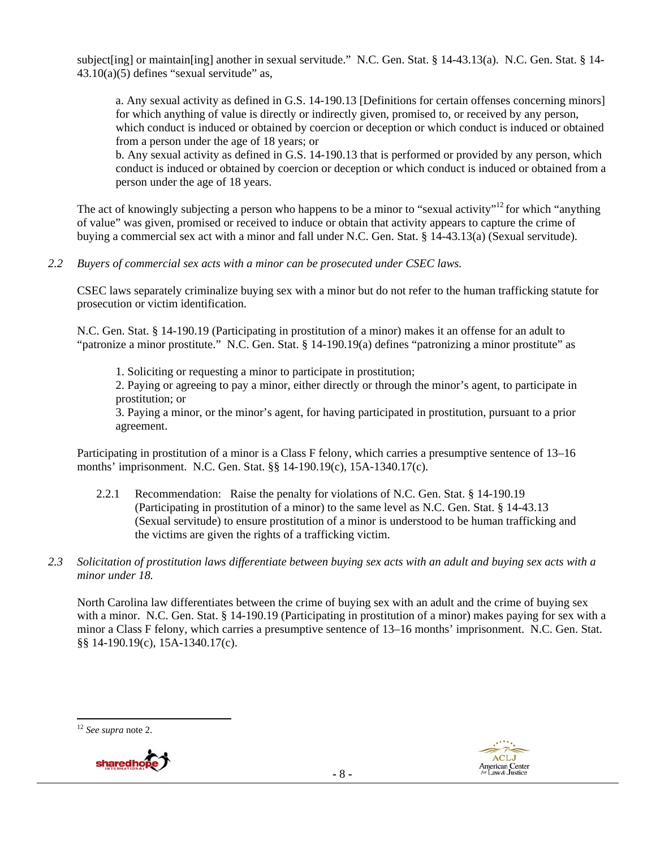subject[ing] or maintain[ing] another in sexual servitude." N.C. Gen. Stat. § 14-43.13(a). N.C. Gen. Stat. § 14- $43.10(a)(5)$  defines "sexual servitude" as,

a. Any sexual activity as defined in G.S. 14-190.13 [Definitions for certain offenses concerning minors] for which anything of value is directly or indirectly given, promised to, or received by any person, which conduct is induced or obtained by coercion or deception or which conduct is induced or obtained from a person under the age of 18 years; or

b. Any sexual activity as defined in G.S. 14-190.13 that is performed or provided by any person, which conduct is induced or obtained by coercion or deception or which conduct is induced or obtained from a person under the age of 18 years.

The act of knowingly subjecting a person who happens to be a minor to "sexual activity"<sup>12</sup> for which "anything" of value" was given, promised or received to induce or obtain that activity appears to capture the crime of buying a commercial sex act with a minor and fall under N.C. Gen. Stat. § 14-43.13(a) (Sexual servitude).

*2.2 Buyers of commercial sex acts with a minor can be prosecuted under CSEC laws.* 

CSEC laws separately criminalize buying sex with a minor but do not refer to the human trafficking statute for prosecution or victim identification.

N.C. Gen. Stat. § 14-190.19 (Participating in prostitution of a minor) makes it an offense for an adult to "patronize a minor prostitute." N.C. Gen. Stat. § 14-190.19(a) defines "patronizing a minor prostitute" as

1. Soliciting or requesting a minor to participate in prostitution;

2. Paying or agreeing to pay a minor, either directly or through the minor's agent, to participate in prostitution; or

3. Paying a minor, or the minor's agent, for having participated in prostitution, pursuant to a prior agreement.

Participating in prostitution of a minor is a Class F felony, which carries a presumptive sentence of 13–16 months' imprisonment. N.C. Gen. Stat. §§ 14-190.19(c), 15A-1340.17(c).

- 2.2.1 Recommendation: Raise the penalty for violations of N.C. Gen. Stat. § 14-190.19 (Participating in prostitution of a minor) to the same level as N.C. Gen. Stat. § 14-43.13 (Sexual servitude) to ensure prostitution of a minor is understood to be human trafficking and the victims are given the rights of a trafficking victim.
- *2.3 Solicitation of prostitution laws differentiate between buying sex acts with an adult and buying sex acts with a minor under 18.*

North Carolina law differentiates between the crime of buying sex with an adult and the crime of buying sex with a minor. N.C. Gen. Stat. § 14-190.19 (Participating in prostitution of a minor) makes paying for sex with a minor a Class F felony, which carries a presumptive sentence of 13–16 months' imprisonment. N.C. Gen. Stat. §§ 14-190.19(c), 15A-1340.17(c).

 <sup>12</sup> *See supra* note 2.



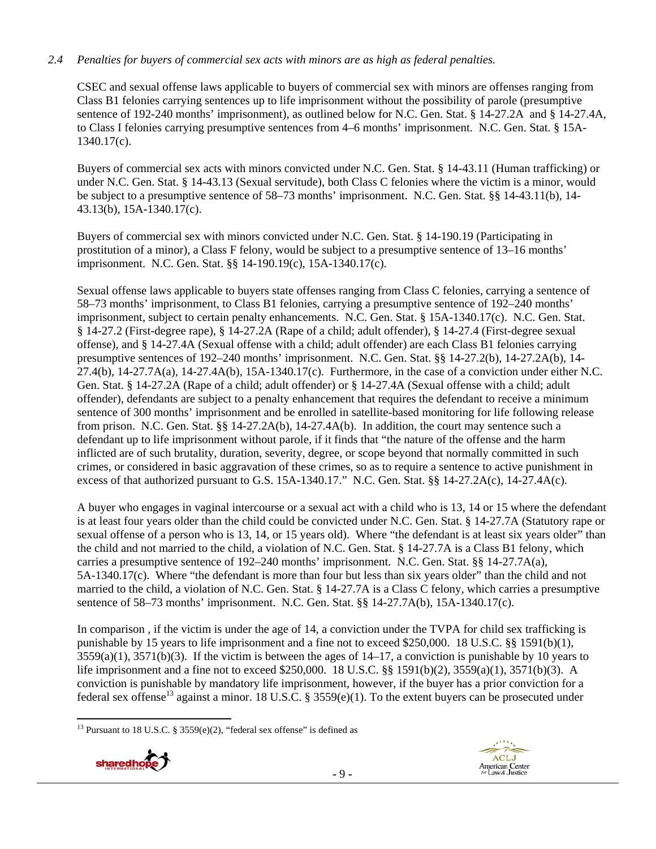# *2.4 Penalties for buyers of commercial sex acts with minors are as high as federal penalties.*

CSEC and sexual offense laws applicable to buyers of commercial sex with minors are offenses ranging from Class B1 felonies carrying sentences up to life imprisonment without the possibility of parole (presumptive sentence of 192-240 months' imprisonment), as outlined below for N.C. Gen. Stat. § 14-27.2A and § 14-27.4A, to Class I felonies carrying presumptive sentences from 4–6 months' imprisonment. N.C. Gen. Stat. § 15A-1340.17(c).

Buyers of commercial sex acts with minors convicted under N.C. Gen. Stat. § 14-43.11 (Human trafficking) or under N.C. Gen. Stat. § 14-43.13 (Sexual servitude), both Class C felonies where the victim is a minor, would be subject to a presumptive sentence of 58–73 months' imprisonment. N.C. Gen. Stat. §§ 14-43.11(b), 14- 43.13(b), 15A-1340.17(c).

Buyers of commercial sex with minors convicted under N.C. Gen. Stat. § 14-190.19 (Participating in prostitution of a minor), a Class F felony, would be subject to a presumptive sentence of 13–16 months' imprisonment. N.C. Gen. Stat. §§ 14-190.19(c), 15A-1340.17(c).

Sexual offense laws applicable to buyers state offenses ranging from Class C felonies, carrying a sentence of 58–73 months' imprisonment, to Class B1 felonies, carrying a presumptive sentence of 192–240 months' imprisonment, subject to certain penalty enhancements. N.C. Gen. Stat. § 15A-1340.17(c). N.C. Gen. Stat. § 14-27.2 (First-degree rape), § 14-27.2A (Rape of a child; adult offender), § 14-27.4 (First-degree sexual offense), and § 14-27.4A (Sexual offense with a child; adult offender) are each Class B1 felonies carrying presumptive sentences of 192–240 months' imprisonment. N.C. Gen. Stat. §§ 14-27.2(b), 14-27.2A(b), 14- 27.4(b), 14-27.7A(a), 14-27.4A(b), 15A-1340.17(c). Furthermore, in the case of a conviction under either N.C. Gen. Stat. § 14-27.2A (Rape of a child; adult offender) or § 14-27.4A (Sexual offense with a child; adult offender), defendants are subject to a penalty enhancement that requires the defendant to receive a minimum sentence of 300 months' imprisonment and be enrolled in satellite-based monitoring for life following release from prison. N.C. Gen. Stat. §§ 14-27.2A(b), 14-27.4A(b). In addition, the court may sentence such a defendant up to life imprisonment without parole, if it finds that "the nature of the offense and the harm inflicted are of such brutality, duration, severity, degree, or scope beyond that normally committed in such crimes, or considered in basic aggravation of these crimes, so as to require a sentence to active punishment in excess of that authorized pursuant to G.S. 15A-1340.17." N.C. Gen. Stat. §§ 14-27.2A(c), 14-27.4A(c).

A buyer who engages in vaginal intercourse or a sexual act with a child who is 13, 14 or 15 where the defendant is at least four years older than the child could be convicted under N.C. Gen. Stat. § 14-27.7A (Statutory rape or sexual offense of a person who is 13, 14, or 15 years old). Where "the defendant is at least six years older" than the child and not married to the child, a violation of N.C. Gen. Stat. § 14-27.7A is a Class B1 felony, which carries a presumptive sentence of 192–240 months' imprisonment. N.C. Gen. Stat. §§ 14-27.7A(a), 5A-1340.17(c). Where "the defendant is more than four but less than six years older" than the child and not married to the child, a violation of N.C. Gen. Stat. § 14-27.7A is a Class C felony, which carries a presumptive sentence of 58–73 months' imprisonment. N.C. Gen. Stat. §§ 14-27.7A(b), 15A-1340.17(c).

In comparison , if the victim is under the age of 14, a conviction under the TVPA for child sex trafficking is punishable by 15 years to life imprisonment and a fine not to exceed \$250,000. 18 U.S.C. §§ 1591(b)(1),  $3559(a)(1)$ ,  $3571(b)(3)$ . If the victim is between the ages of  $14-17$ , a conviction is punishable by 10 years to life imprisonment and a fine not to exceed \$250,000. 18 U.S.C. §§ 1591(b)(2), 3559(a)(1), 3571(b)(3). A conviction is punishable by mandatory life imprisonment, however, if the buyer has a prior conviction for a federal sex offense<sup>13</sup> against a minor. 18 U.S.C. § 3559(e)(1). To the extent buyers can be prosecuted under

<sup>&</sup>lt;sup>13</sup> Pursuant to 18 U.S.C. § 3559 $(e)(2)$ , "federal sex offense" is defined as

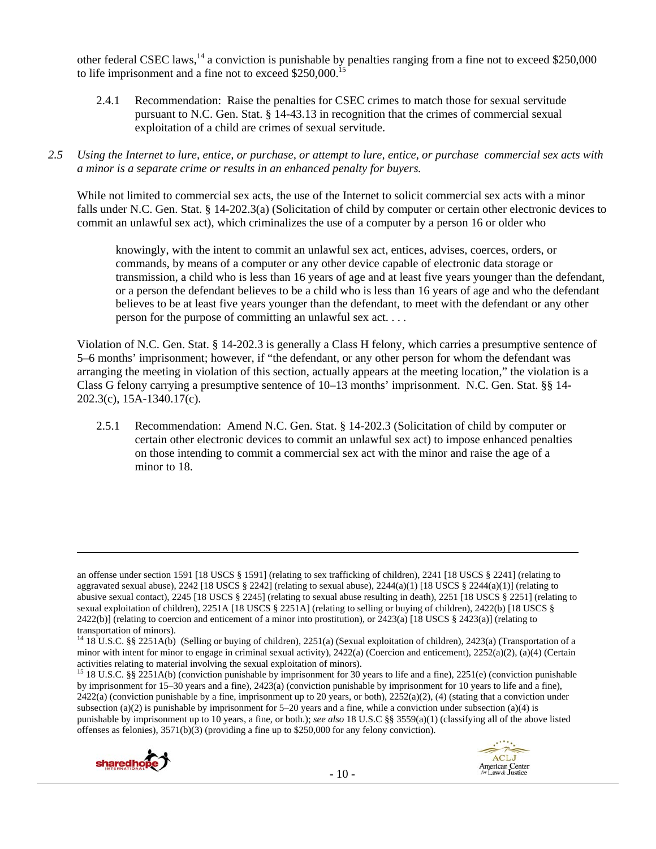other federal CSEC laws,<sup>14</sup> a conviction is punishable by penalties ranging from a fine not to exceed \$250,000 to life imprisonment and a fine not to exceed \$250,000.<sup>15</sup>

- 2.4.1 Recommendation: Raise the penalties for CSEC crimes to match those for sexual servitude pursuant to N.C. Gen. Stat. § 14-43.13 in recognition that the crimes of commercial sexual exploitation of a child are crimes of sexual servitude.
- *2.5 Using the Internet to lure, entice, or purchase, or attempt to lure, entice, or purchase commercial sex acts with a minor is a separate crime or results in an enhanced penalty for buyers.*

While not limited to commercial sex acts, the use of the Internet to solicit commercial sex acts with a minor falls under N.C. Gen. Stat. § 14-202.3(a) (Solicitation of child by computer or certain other electronic devices to commit an unlawful sex act), which criminalizes the use of a computer by a person 16 or older who

knowingly, with the intent to commit an unlawful sex act, entices, advises, coerces, orders, or commands, by means of a computer or any other device capable of electronic data storage or transmission, a child who is less than 16 years of age and at least five years younger than the defendant, or a person the defendant believes to be a child who is less than 16 years of age and who the defendant believes to be at least five years younger than the defendant, to meet with the defendant or any other person for the purpose of committing an unlawful sex act. . . .

Violation of N.C. Gen. Stat. § 14-202.3 is generally a Class H felony, which carries a presumptive sentence of 5–6 months' imprisonment; however, if "the defendant, or any other person for whom the defendant was arranging the meeting in violation of this section, actually appears at the meeting location," the violation is a Class G felony carrying a presumptive sentence of 10–13 months' imprisonment. N.C. Gen. Stat. §§ 14- 202.3(c), 15A-1340.17(c).

2.5.1 Recommendation: Amend N.C. Gen. Stat. § 14-202.3 (Solicitation of child by computer or certain other electronic devices to commit an unlawful sex act) to impose enhanced penalties on those intending to commit a commercial sex act with the minor and raise the age of a minor to 18.

<u> Andrewski politika (za obrazu pod predsjednika u predsjednika u predsjednika u predsjednika (za obrazu pod p</u>

<sup>&</sup>lt;sup>15</sup> 18 U.S.C. §§ 2251A(b) (conviction punishable by imprisonment for 30 years to life and a fine), 2251(e) (conviction punishable by imprisonment for 15–30 years and a fine), 2423(a) (conviction punishable by imprisonment for 10 years to life and a fine),  $2422(a)$  (conviction punishable by a fine, imprisonment up to 20 years, or both),  $2252(a)(2)$ , (4) (stating that a conviction under subsection (a)(2) is punishable by imprisonment for  $5-20$  years and a fine, while a conviction under subsection (a)(4) is punishable by imprisonment up to 10 years, a fine, or both.); *see also* 18 U.S.C §§ 3559(a)(1) (classifying all of the above listed offenses as felonies), 3571(b)(3) (providing a fine up to \$250,000 for any felony conviction).





an offense under section 1591 [18 USCS § 1591] (relating to sex trafficking of children), 2241 [18 USCS § 2241] (relating to aggravated sexual abuse),  $2242$  [18 USCS § 2242] (relating to sexual abuse),  $2244(a)(1)$  [18 USCS § 2244(a)(1)] (relating to abusive sexual contact), 2245 [18 USCS § 2245] (relating to sexual abuse resulting in death), 2251 [18 USCS § 2251] (relating to sexual exploitation of children), 2251A [18 USCS § 2251A] (relating to selling or buying of children), 2422(b) [18 USCS § 2422(b)] (relating to coercion and enticement of a minor into prostitution), or 2423(a) [18 USCS § 2423(a)] (relating to transportation of minors).

<sup>&</sup>lt;sup>14</sup> 18 U.S.C. §§ 2251A(b) (Selling or buying of children), 2251(a) (Sexual exploitation of children), 2423(a) (Transportation of a minor with intent for minor to engage in criminal sexual activity), 2422(a) (Coercion and enticement), 2252(a)(2), (a)(4) (Certain activities relating to material involving the sexual exploitation of minors).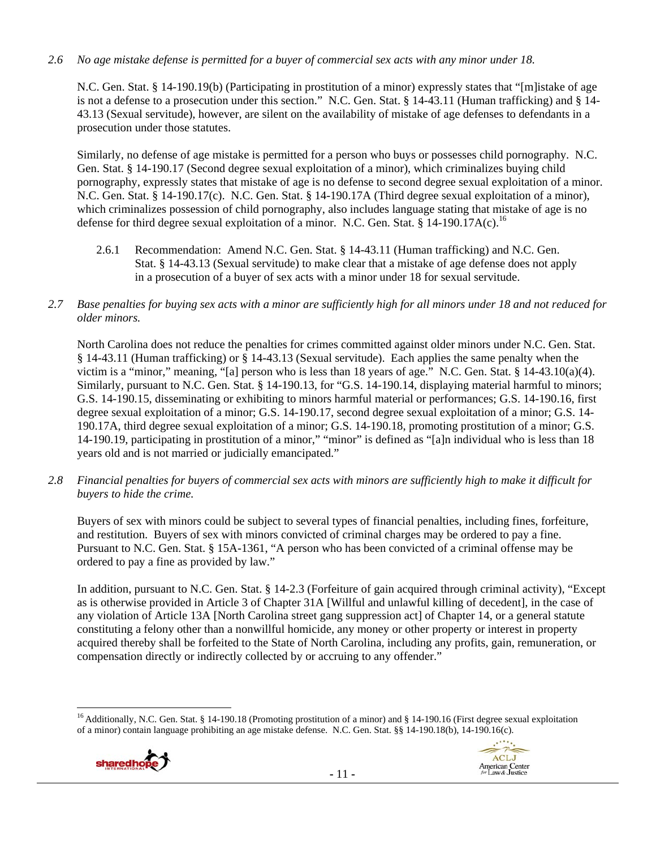# *2.6 No age mistake defense is permitted for a buyer of commercial sex acts with any minor under 18.*

N.C. Gen. Stat. § 14-190.19(b) (Participating in prostitution of a minor) expressly states that "[m]istake of age is not a defense to a prosecution under this section." N.C. Gen. Stat. § 14-43.11 (Human trafficking) and § 14- 43.13 (Sexual servitude), however, are silent on the availability of mistake of age defenses to defendants in a prosecution under those statutes.

Similarly, no defense of age mistake is permitted for a person who buys or possesses child pornography. N.C. Gen. Stat. § 14-190.17 (Second degree sexual exploitation of a minor), which criminalizes buying child pornography, expressly states that mistake of age is no defense to second degree sexual exploitation of a minor. N.C. Gen. Stat. § 14-190.17(c). N.C. Gen. Stat. § 14-190.17A (Third degree sexual exploitation of a minor), which criminalizes possession of child pornography, also includes language stating that mistake of age is no defense for third degree sexual exploitation of a minor. N.C. Gen. Stat. § 14-190.17A(c).<sup>16</sup>

- 2.6.1 Recommendation: Amend N.C. Gen. Stat. § 14-43.11 (Human trafficking) and N.C. Gen. Stat. § 14-43.13 (Sexual servitude) to make clear that a mistake of age defense does not apply in a prosecution of a buyer of sex acts with a minor under 18 for sexual servitude.
- *2.7 Base penalties for buying sex acts with a minor are sufficiently high for all minors under 18 and not reduced for older minors.*

North Carolina does not reduce the penalties for crimes committed against older minors under N.C. Gen. Stat. § 14-43.11 (Human trafficking) or § 14-43.13 (Sexual servitude). Each applies the same penalty when the victim is a "minor," meaning, "[a] person who is less than 18 years of age." N.C. Gen. Stat. § 14-43.10(a)(4). Similarly, pursuant to N.C. Gen. Stat. § 14-190.13, for "G.S. 14-190.14, displaying material harmful to minors; G.S. 14-190.15, disseminating or exhibiting to minors harmful material or performances; G.S. 14-190.16, first degree sexual exploitation of a minor; G.S. 14-190.17, second degree sexual exploitation of a minor; G.S. 14- 190.17A, third degree sexual exploitation of a minor; G.S. 14-190.18, promoting prostitution of a minor; G.S. 14-190.19, participating in prostitution of a minor," "minor" is defined as "[a]n individual who is less than 18 years old and is not married or judicially emancipated."

*2.8 Financial penalties for buyers of commercial sex acts with minors are sufficiently high to make it difficult for buyers to hide the crime.* 

Buyers of sex with minors could be subject to several types of financial penalties, including fines, forfeiture, and restitution. Buyers of sex with minors convicted of criminal charges may be ordered to pay a fine. Pursuant to N.C. Gen. Stat. § 15A-1361, "A person who has been convicted of a criminal offense may be ordered to pay a fine as provided by law."

In addition, pursuant to N.C. Gen. Stat. § 14-2.3 (Forfeiture of gain acquired through criminal activity), "Except as is otherwise provided in Article 3 of Chapter 31A [Willful and unlawful killing of decedent], in the case of any violation of Article 13A [North Carolina street gang suppression act] of Chapter 14, or a general statute constituting a felony other than a nonwillful homicide, any money or other property or interest in property acquired thereby shall be forfeited to the State of North Carolina, including any profits, gain, remuneration, or compensation directly or indirectly collected by or accruing to any offender."

 <sup>16</sup> Additionally, N.C. Gen. Stat. § 14-190.18 (Promoting prostitution of a minor) and § 14-190.16 (First degree sexual exploitation of a minor) contain language prohibiting an age mistake defense. N.C. Gen. Stat. §§ 14-190.18(b), 14-190.16(c).



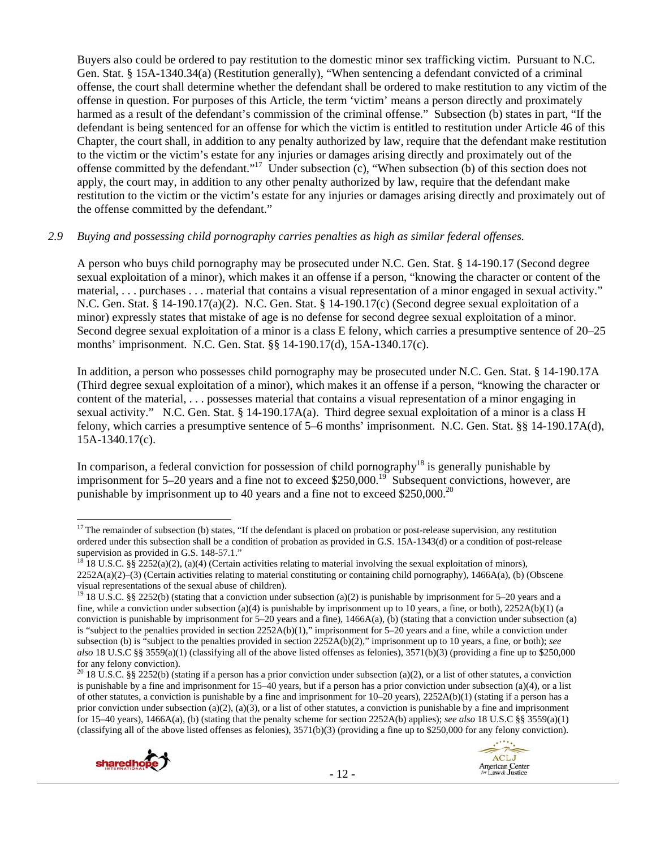Buyers also could be ordered to pay restitution to the domestic minor sex trafficking victim. Pursuant to N.C. Gen. Stat. § 15A-1340.34(a) (Restitution generally), "When sentencing a defendant convicted of a criminal offense, the court shall determine whether the defendant shall be ordered to make restitution to any victim of the offense in question. For purposes of this Article, the term 'victim' means a person directly and proximately harmed as a result of the defendant's commission of the criminal offense." Subsection (b) states in part, "If the defendant is being sentenced for an offense for which the victim is entitled to restitution under Article 46 of this Chapter, the court shall, in addition to any penalty authorized by law, require that the defendant make restitution to the victim or the victim's estate for any injuries or damages arising directly and proximately out of the offense committed by the defendant."<sup>17</sup> Under subsection (c), "When subsection (b) of this section does not apply, the court may, in addition to any other penalty authorized by law, require that the defendant make restitution to the victim or the victim's estate for any injuries or damages arising directly and proximately out of the offense committed by the defendant."

#### *2.9 Buying and possessing child pornography carries penalties as high as similar federal offenses.*

A person who buys child pornography may be prosecuted under N.C. Gen. Stat. § 14-190.17 (Second degree sexual exploitation of a minor), which makes it an offense if a person, "knowing the character or content of the material, . . . purchases . . . material that contains a visual representation of a minor engaged in sexual activity." N.C. Gen. Stat. § 14-190.17(a)(2). N.C. Gen. Stat. § 14-190.17(c) (Second degree sexual exploitation of a minor) expressly states that mistake of age is no defense for second degree sexual exploitation of a minor. Second degree sexual exploitation of a minor is a class E felony, which carries a presumptive sentence of 20–25 months' imprisonment. N.C. Gen. Stat. §§ 14-190.17(d), 15A-1340.17(c).

In addition, a person who possesses child pornography may be prosecuted under N.C. Gen. Stat. § 14-190.17A (Third degree sexual exploitation of a minor), which makes it an offense if a person, "knowing the character or content of the material, . . . possesses material that contains a visual representation of a minor engaging in sexual activity." N.C. Gen. Stat. § 14-190.17A(a). Third degree sexual exploitation of a minor is a class H felony, which carries a presumptive sentence of 5–6 months' imprisonment. N.C. Gen. Stat. §§ 14-190.17A(d), 15A-1340.17(c).

In comparison, a federal conviction for possession of child pornography<sup>18</sup> is generally punishable by imprisonment for  $5-20$  years and a fine not to exceed \$250,000.<sup>19</sup> Subsequent convictions, however, are punishable by imprisonment up to 40 years and a fine not to exceed  $$250,000.<sup>20</sup>$ 

<sup>&</sup>lt;sup>20</sup> 18 U.S.C. §§ 2252(b) (stating if a person has a prior conviction under subsection (a)(2), or a list of other statutes, a conviction is punishable by a fine and imprisonment for 15–40 years, but if a person has a prior conviction under subsection (a)(4), or a list of other statutes, a conviction is punishable by a fine and imprisonment for  $10-20$  years),  $2252A(b)(1)$  (stating if a person has a prior conviction under subsection (a)(2), (a)(3), or a list of other statutes, a conviction is punishable by a fine and imprisonment for 15–40 years), 1466A(a), (b) (stating that the penalty scheme for section 2252A(b) applies); *see also* 18 U.S.C §§ 3559(a)(1) (classifying all of the above listed offenses as felonies),  $3571(b)(3)$  (providing a fine up to \$250,000 for any felony conviction).





 $17$  The remainder of subsection (b) states, "If the defendant is placed on probation or post-release supervision, any restitution ordered under this subsection shall be a condition of probation as provided in G.S. 15A-1343(d) or a condition of post-release supervision as provided in G.S. 148-57.1."

<sup>&</sup>lt;sup>18</sup> 18 U.S.C. §§ 2252(a)(2), (a)(4) (Certain activities relating to material involving the sexual exploitation of minors), 2252A(a)(2)–(3) (Certain activities relating to material constituting or containing child pornography), 1466A(a), (b) (Obscene visual representations of the sexual abuse of children).

<sup>&</sup>lt;sup>19</sup> 18 U.S.C. §§ 2252(b) (stating that a conviction under subsection (a)(2) is punishable by imprisonment for 5–20 years and a fine, while a conviction under subsection (a)(4) is punishable by imprisonment up to 10 years, a fine, or both),  $2252A(b)(1)$  (a conviction is punishable by imprisonment for 5–20 years and a fine), 1466A(a), (b) (stating that a conviction under subsection (a) is "subject to the penalties provided in section 2252A(b)(1)," imprisonment for 5–20 years and a fine, while a conviction under subsection (b) is "subject to the penalties provided in section 2252A(b)(2)," imprisonment up to 10 years, a fine, or both); *see also* 18 U.S.C §§ 3559(a)(1) (classifying all of the above listed offenses as felonies), 3571(b)(3) (providing a fine up to \$250,000 for any felony conviction).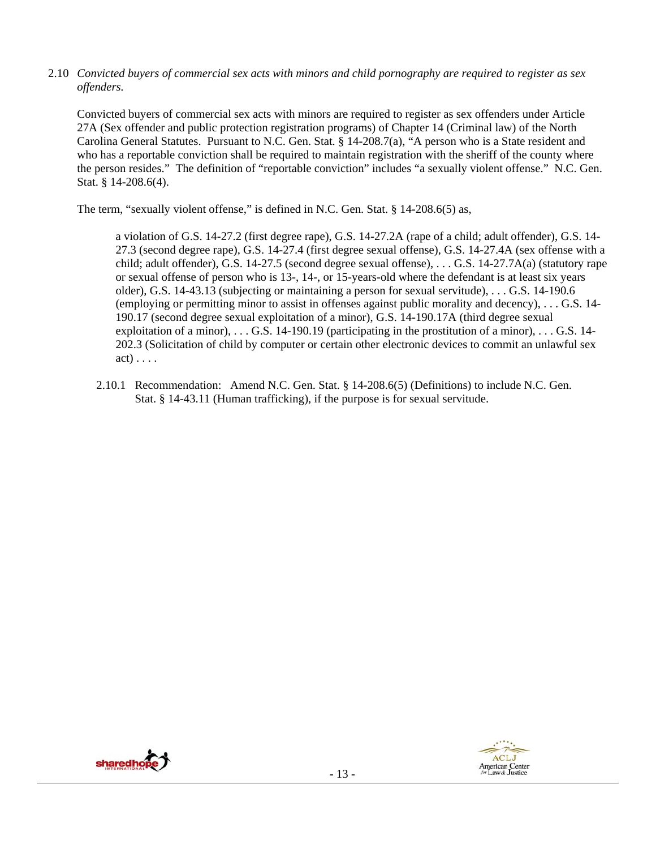2.10 *Convicted buyers of commercial sex acts with minors and child pornography are required to register as sex offenders.*

Convicted buyers of commercial sex acts with minors are required to register as sex offenders under Article 27A (Sex offender and public protection registration programs) of Chapter 14 (Criminal law) of the North Carolina General Statutes. Pursuant to N.C. Gen. Stat. § 14-208.7(a), "A person who is a State resident and who has a reportable conviction shall be required to maintain registration with the sheriff of the county where the person resides." The definition of "reportable conviction" includes "a sexually violent offense." N.C. Gen. Stat. § 14-208.6(4).

The term, "sexually violent offense," is defined in N.C. Gen. Stat. § 14-208.6(5) as,

a violation of G.S. 14-27.2 (first degree rape), G.S. 14-27.2A (rape of a child; adult offender), G.S. 14- 27.3 (second degree rape), G.S. 14-27.4 (first degree sexual offense), G.S. 14-27.4A (sex offense with a child; adult offender), G.S. 14-27.5 (second degree sexual offense), . . . G.S. 14-27.7A(a) (statutory rape or sexual offense of person who is 13-, 14-, or 15-years-old where the defendant is at least six years older), G.S. 14-43.13 (subjecting or maintaining a person for sexual servitude), . . . G.S. 14-190.6 (employing or permitting minor to assist in offenses against public morality and decency), . . . G.S. 14- 190.17 (second degree sexual exploitation of a minor), G.S. 14-190.17A (third degree sexual exploitation of a minor), . . . G.S. 14-190.19 (participating in the prostitution of a minor), . . . G.S. 14- 202.3 (Solicitation of child by computer or certain other electronic devices to commit an unlawful sex act) . . . .

2.10.1 Recommendation: Amend N.C. Gen. Stat. § 14-208.6(5) (Definitions) to include N.C. Gen. Stat. § 14-43.11 (Human trafficking), if the purpose is for sexual servitude.



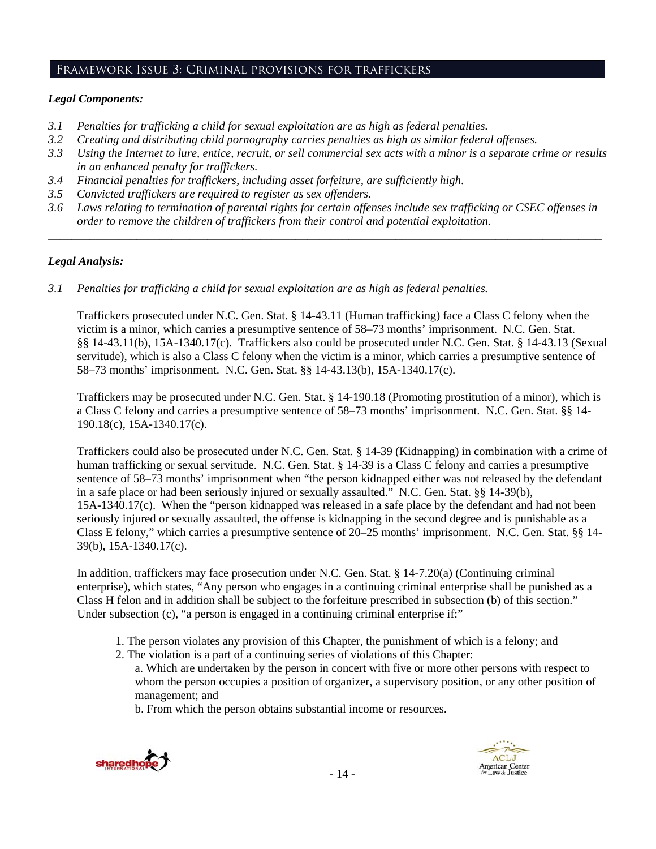# Framework Issue 3: Criminal provisions for traffickers

#### *Legal Components:*

- *3.1 Penalties for trafficking a child for sexual exploitation are as high as federal penalties.*
- *3.2 Creating and distributing child pornography carries penalties as high as similar federal offenses.*
- *3.3 Using the Internet to lure, entice, recruit, or sell commercial sex acts with a minor is a separate crime or results in an enhanced penalty for traffickers.*
- *3.4 Financial penalties for traffickers, including asset forfeiture, are sufficiently high*.
- *3.5 Convicted traffickers are required to register as sex offenders.*
- *3.6 Laws relating to termination of parental rights for certain offenses include sex trafficking or CSEC offenses in order to remove the children of traffickers from their control and potential exploitation. \_\_\_\_\_\_\_\_\_\_\_\_\_\_\_\_\_\_\_\_\_\_\_\_\_\_\_\_\_\_\_\_\_\_\_\_\_\_\_\_\_\_\_\_\_\_\_\_\_\_\_\_\_\_\_\_\_\_\_\_\_\_\_\_\_\_\_\_\_\_\_\_\_\_\_\_\_\_\_\_\_\_\_\_\_\_\_\_\_\_\_\_\_\_*

# *Legal Analysis:*

*3.1 Penalties for trafficking a child for sexual exploitation are as high as federal penalties.* 

Traffickers prosecuted under N.C. Gen. Stat. § 14-43.11 (Human trafficking) face a Class C felony when the victim is a minor, which carries a presumptive sentence of 58–73 months' imprisonment. N.C. Gen. Stat. §§ 14-43.11(b), 15A-1340.17(c). Traffickers also could be prosecuted under N.C. Gen. Stat. § 14-43.13 (Sexual servitude), which is also a Class C felony when the victim is a minor, which carries a presumptive sentence of 58–73 months' imprisonment. N.C. Gen. Stat. §§ 14-43.13(b), 15A-1340.17(c).

Traffickers may be prosecuted under N.C. Gen. Stat. § 14-190.18 (Promoting prostitution of a minor), which is a Class C felony and carries a presumptive sentence of 58–73 months' imprisonment. N.C. Gen. Stat. §§ 14- 190.18(c), 15A-1340.17(c).

Traffickers could also be prosecuted under N.C. Gen. Stat. § 14-39 (Kidnapping) in combination with a crime of human trafficking or sexual servitude. N.C. Gen. Stat. § 14-39 is a Class C felony and carries a presumptive sentence of 58–73 months' imprisonment when "the person kidnapped either was not released by the defendant in a safe place or had been seriously injured or sexually assaulted." N.C. Gen. Stat. §§ 14-39(b), 15A-1340.17(c). When the "person kidnapped was released in a safe place by the defendant and had not been seriously injured or sexually assaulted, the offense is kidnapping in the second degree and is punishable as a Class E felony," which carries a presumptive sentence of 20–25 months' imprisonment. N.C. Gen. Stat. §§ 14- 39(b), 15A-1340.17(c).

In addition, traffickers may face prosecution under N.C. Gen. Stat. § 14-7.20(a) (Continuing criminal enterprise), which states, "Any person who engages in a continuing criminal enterprise shall be punished as a Class H felon and in addition shall be subject to the forfeiture prescribed in subsection (b) of this section." Under subsection (c), "a person is engaged in a continuing criminal enterprise if:"

- 1. The person violates any provision of this Chapter, the punishment of which is a felony; and
- 2. The violation is a part of a continuing series of violations of this Chapter:

a. Which are undertaken by the person in concert with five or more other persons with respect to whom the person occupies a position of organizer, a supervisory position, or any other position of management; and

b. From which the person obtains substantial income or resources.



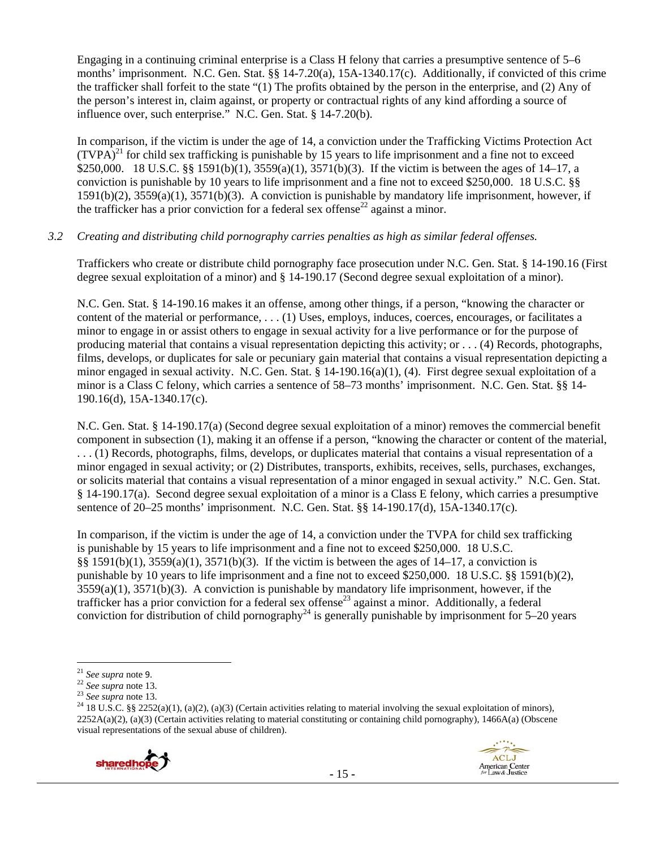Engaging in a continuing criminal enterprise is a Class H felony that carries a presumptive sentence of 5–6 months' imprisonment. N.C. Gen. Stat. §§ 14-7.20(a), 15A-1340.17(c). Additionally, if convicted of this crime the trafficker shall forfeit to the state "(1) The profits obtained by the person in the enterprise, and (2) Any of the person's interest in, claim against, or property or contractual rights of any kind affording a source of influence over, such enterprise." N.C. Gen. Stat. § 14-7.20(b).

In comparison, if the victim is under the age of 14, a conviction under the Trafficking Victims Protection Act  $(TVPA)^{21}$  for child sex trafficking is punishable by 15 years to life imprisonment and a fine not to exceed \$250,000. 18 U.S.C. §§ 1591(b)(1), 3559(a)(1), 3571(b)(3). If the victim is between the ages of 14–17, a conviction is punishable by 10 years to life imprisonment and a fine not to exceed \$250,000. 18 U.S.C. §§ 1591(b)(2), 3559(a)(1), 3571(b)(3). A conviction is punishable by mandatory life imprisonment, however, if the trafficker has a prior conviction for a federal sex offense<sup>22</sup> against a minor.

#### *3.2 Creating and distributing child pornography carries penalties as high as similar federal offenses.*

Traffickers who create or distribute child pornography face prosecution under N.C. Gen. Stat. § 14-190.16 (First degree sexual exploitation of a minor) and § 14-190.17 (Second degree sexual exploitation of a minor).

N.C. Gen. Stat. § 14-190.16 makes it an offense, among other things, if a person, "knowing the character or content of the material or performance, . . . (1) Uses, employs, induces, coerces, encourages, or facilitates a minor to engage in or assist others to engage in sexual activity for a live performance or for the purpose of producing material that contains a visual representation depicting this activity; or . . . (4) Records, photographs, films, develops, or duplicates for sale or pecuniary gain material that contains a visual representation depicting a minor engaged in sexual activity. N.C. Gen. Stat. § 14-190.16(a)(1), (4). First degree sexual exploitation of a minor is a Class C felony, which carries a sentence of 58–73 months' imprisonment. N.C. Gen. Stat. §§ 14- 190.16(d), 15A-1340.17(c).

N.C. Gen. Stat. § 14-190.17(a) (Second degree sexual exploitation of a minor) removes the commercial benefit component in subsection (1), making it an offense if a person, "knowing the character or content of the material, . . . (1) Records, photographs, films, develops, or duplicates material that contains a visual representation of a minor engaged in sexual activity; or (2) Distributes, transports, exhibits, receives, sells, purchases, exchanges, or solicits material that contains a visual representation of a minor engaged in sexual activity." N.C. Gen. Stat. § 14-190.17(a). Second degree sexual exploitation of a minor is a Class E felony, which carries a presumptive sentence of 20–25 months' imprisonment. N.C. Gen. Stat. §§ 14-190.17(d), 15A-1340.17(c).

In comparison, if the victim is under the age of 14, a conviction under the TVPA for child sex trafficking is punishable by 15 years to life imprisonment and a fine not to exceed \$250,000. 18 U.S.C. §§ 1591(b)(1),  $3559(a)(1)$ ,  $3571(b)(3)$ . If the victim is between the ages of 14–17, a conviction is punishable by 10 years to life imprisonment and a fine not to exceed \$250,000. 18 U.S.C. §§ 1591(b)(2),  $3559(a)(1)$ ,  $3571(b)(3)$ . A conviction is punishable by mandatory life imprisonment, however, if the trafficker has a prior conviction for a federal sex offense<sup>23</sup> against a minor. Additionally, a federal conviction for distribution of child pornography<sup>24</sup> is generally punishable by imprisonment for 5–20 years

<sup>&</sup>lt;sup>21</sup> *See supra* note 9.<br><sup>22</sup> *See supra* note 13.<br><sup>23</sup> *See supra* note 13.<br><sup>24</sup> 18 U.S.C. §§ 2252(a)(1), (a)(2), (a)(3) (Certain activities relating to material involving the sexual exploitation of minors), 2252A(a)(2), (a)(3) (Certain activities relating to material constituting or containing child pornography), 1466A(a) (Obscene visual representations of the sexual abuse of children).



**ACLJ**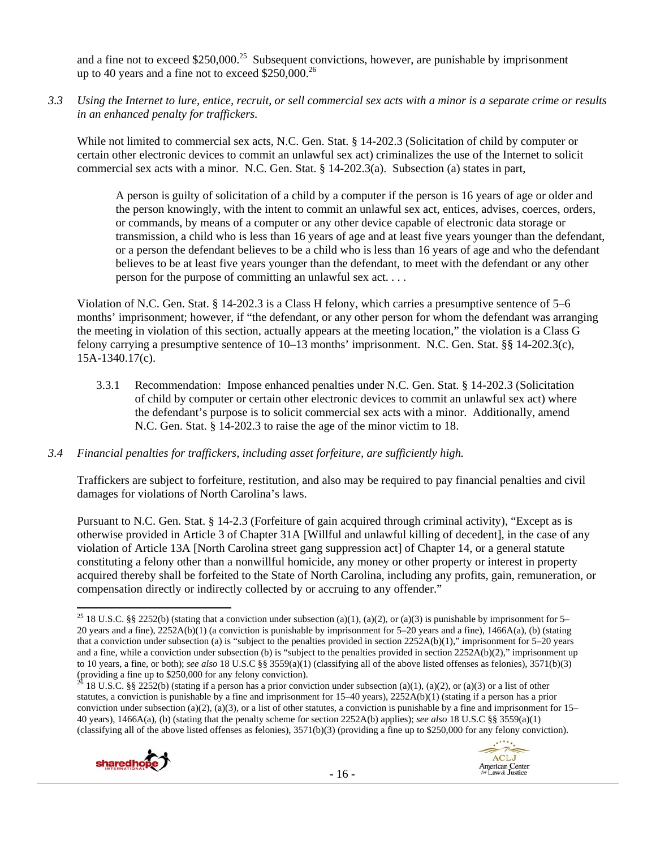and a fine not to exceed  $$250,000.<sup>25</sup>$  Subsequent convictions, however, are punishable by imprisonment up to 40 years and a fine not to exceed  $$250,000.<sup>26</sup>$ 

*3.3 Using the Internet to lure, entice, recruit, or sell commercial sex acts with a minor is a separate crime or results in an enhanced penalty for traffickers.* 

While not limited to commercial sex acts, N.C. Gen. Stat. § 14-202.3 (Solicitation of child by computer or certain other electronic devices to commit an unlawful sex act) criminalizes the use of the Internet to solicit commercial sex acts with a minor. N.C. Gen. Stat. § 14-202.3(a). Subsection (a) states in part,

A person is guilty of solicitation of a child by a computer if the person is 16 years of age or older and the person knowingly, with the intent to commit an unlawful sex act, entices, advises, coerces, orders, or commands, by means of a computer or any other device capable of electronic data storage or transmission, a child who is less than 16 years of age and at least five years younger than the defendant, or a person the defendant believes to be a child who is less than 16 years of age and who the defendant believes to be at least five years younger than the defendant, to meet with the defendant or any other person for the purpose of committing an unlawful sex act. . . .

Violation of N.C. Gen. Stat. § 14-202.3 is a Class H felony, which carries a presumptive sentence of 5–6 months' imprisonment; however, if "the defendant, or any other person for whom the defendant was arranging the meeting in violation of this section, actually appears at the meeting location," the violation is a Class G felony carrying a presumptive sentence of 10–13 months' imprisonment. N.C. Gen. Stat. §§ 14-202.3(c), 15A-1340.17(c).

3.3.1 Recommendation: Impose enhanced penalties under N.C. Gen. Stat. § 14-202.3 (Solicitation of child by computer or certain other electronic devices to commit an unlawful sex act) where the defendant's purpose is to solicit commercial sex acts with a minor. Additionally, amend N.C. Gen. Stat. § 14-202.3 to raise the age of the minor victim to 18.

#### *3.4 Financial penalties for traffickers, including asset forfeiture, are sufficiently high.*

Traffickers are subject to forfeiture, restitution, and also may be required to pay financial penalties and civil damages for violations of North Carolina's laws.

Pursuant to N.C. Gen. Stat. § 14-2.3 (Forfeiture of gain acquired through criminal activity), "Except as is otherwise provided in Article 3 of Chapter 31A [Willful and unlawful killing of decedent], in the case of any violation of Article 13A [North Carolina street gang suppression act] of Chapter 14, or a general statute constituting a felony other than a nonwillful homicide, any money or other property or interest in property acquired thereby shall be forfeited to the State of North Carolina, including any profits, gain, remuneration, or compensation directly or indirectly collected by or accruing to any offender."

 $^{26}$  18 U.S.C. §§ 2252(b) (stating if a person has a prior conviction under subsection (a)(1), (a)(2), or (a)(3) or a list of other statutes, a conviction is punishable by a fine and imprisonment for 15–40 years), 2252A(b)(1) (stating if a person has a prior conviction under subsection (a)(2), (a)(3), or a list of other statutes, a conviction is punishable by a fine and imprisonment for  $15-$ 40 years), 1466A(a), (b) (stating that the penalty scheme for section 2252A(b) applies); *see also* 18 U.S.C §§ 3559(a)(1) (classifying all of the above listed offenses as felonies),  $3571(b)(3)$  (providing a fine up to \$250,000 for any felony conviction).





 <sup>25</sup> 18 U.S.C. §§ 2252(b) (stating that a conviction under subsection (a)(1), (a)(2), or (a)(3) is punishable by imprisonment for 5– 20 years and a fine), 2252A(b)(1) (a conviction is punishable by imprisonment for 5–20 years and a fine), 1466A(a), (b) (stating that a conviction under subsection (a) is "subject to the penalties provided in section 2252A(b)(1)," imprisonment for 5–20 years and a fine, while a conviction under subsection (b) is "subject to the penalties provided in section 2252A(b)(2)," imprisonment up to 10 years, a fine, or both); *see also* 18 U.S.C §§ 3559(a)(1) (classifying all of the above listed offenses as felonies), 3571(b)(3) (providing a fine up to \$250,000 for any felony conviction).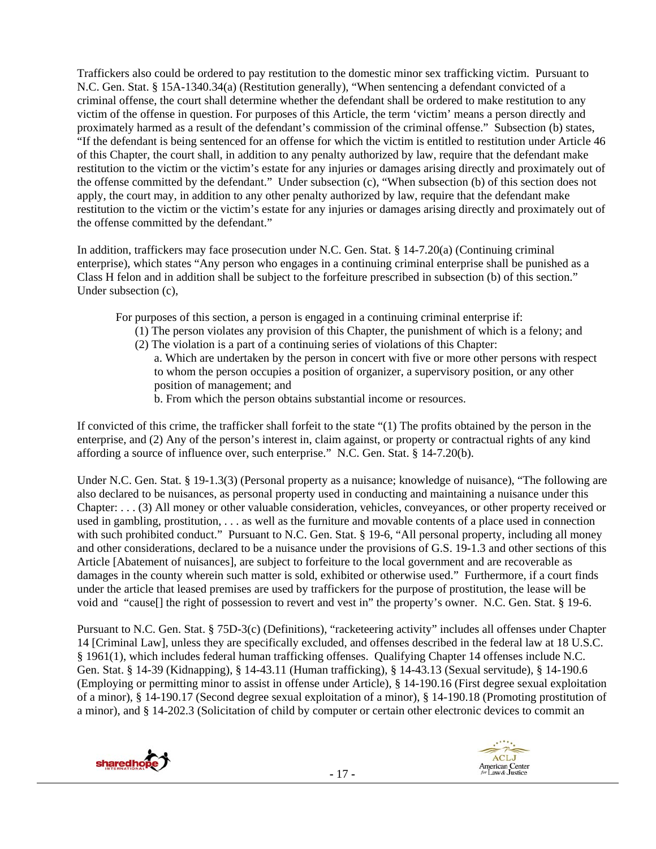Traffickers also could be ordered to pay restitution to the domestic minor sex trafficking victim. Pursuant to N.C. Gen. Stat. § 15A-1340.34(a) (Restitution generally), "When sentencing a defendant convicted of a criminal offense, the court shall determine whether the defendant shall be ordered to make restitution to any victim of the offense in question. For purposes of this Article, the term 'victim' means a person directly and proximately harmed as a result of the defendant's commission of the criminal offense." Subsection (b) states, "If the defendant is being sentenced for an offense for which the victim is entitled to restitution under Article 46 of this Chapter, the court shall, in addition to any penalty authorized by law, require that the defendant make restitution to the victim or the victim's estate for any injuries or damages arising directly and proximately out of the offense committed by the defendant." Under subsection (c), "When subsection (b) of this section does not apply, the court may, in addition to any other penalty authorized by law, require that the defendant make restitution to the victim or the victim's estate for any injuries or damages arising directly and proximately out of the offense committed by the defendant."

In addition, traffickers may face prosecution under N.C. Gen. Stat. § 14-7.20(a) (Continuing criminal enterprise), which states "Any person who engages in a continuing criminal enterprise shall be punished as a Class H felon and in addition shall be subject to the forfeiture prescribed in subsection (b) of this section." Under subsection (c),

For purposes of this section, a person is engaged in a continuing criminal enterprise if:

- (1) The person violates any provision of this Chapter, the punishment of which is a felony; and
- (2) The violation is a part of a continuing series of violations of this Chapter:
	- a. Which are undertaken by the person in concert with five or more other persons with respect to whom the person occupies a position of organizer, a supervisory position, or any other position of management; and
		- b. From which the person obtains substantial income or resources.

If convicted of this crime, the trafficker shall forfeit to the state "(1) The profits obtained by the person in the enterprise, and (2) Any of the person's interest in, claim against, or property or contractual rights of any kind affording a source of influence over, such enterprise." N.C. Gen. Stat. § 14-7.20(b).

Under N.C. Gen. Stat. § 19-1.3(3) (Personal property as a nuisance; knowledge of nuisance), "The following are also declared to be nuisances, as personal property used in conducting and maintaining a nuisance under this Chapter: . . . (3) All money or other valuable consideration, vehicles, conveyances, or other property received or used in gambling, prostitution, . . . as well as the furniture and movable contents of a place used in connection with such prohibited conduct." Pursuant to N.C. Gen. Stat. § 19-6, "All personal property, including all money and other considerations, declared to be a nuisance under the provisions of G.S. 19-1.3 and other sections of this Article [Abatement of nuisances], are subject to forfeiture to the local government and are recoverable as damages in the county wherein such matter is sold, exhibited or otherwise used." Furthermore, if a court finds under the article that leased premises are used by traffickers for the purpose of prostitution, the lease will be void and "cause[] the right of possession to revert and vest in" the property's owner. N.C. Gen. Stat. § 19-6.

Pursuant to N.C. Gen. Stat. § 75D-3(c) (Definitions), "racketeering activity" includes all offenses under Chapter 14 [Criminal Law], unless they are specifically excluded, and offenses described in the federal law at 18 U.S.C. § 1961(1), which includes federal human trafficking offenses. Qualifying Chapter 14 offenses include N.C. Gen. Stat. § 14-39 (Kidnapping), § 14-43.11 (Human trafficking), § 14-43.13 (Sexual servitude), § 14-190.6 (Employing or permitting minor to assist in offense under Article), § 14-190.16 (First degree sexual exploitation of a minor), § 14-190.17 (Second degree sexual exploitation of a minor), § 14-190.18 (Promoting prostitution of a minor), and § 14-202.3 (Solicitation of child by computer or certain other electronic devices to commit an

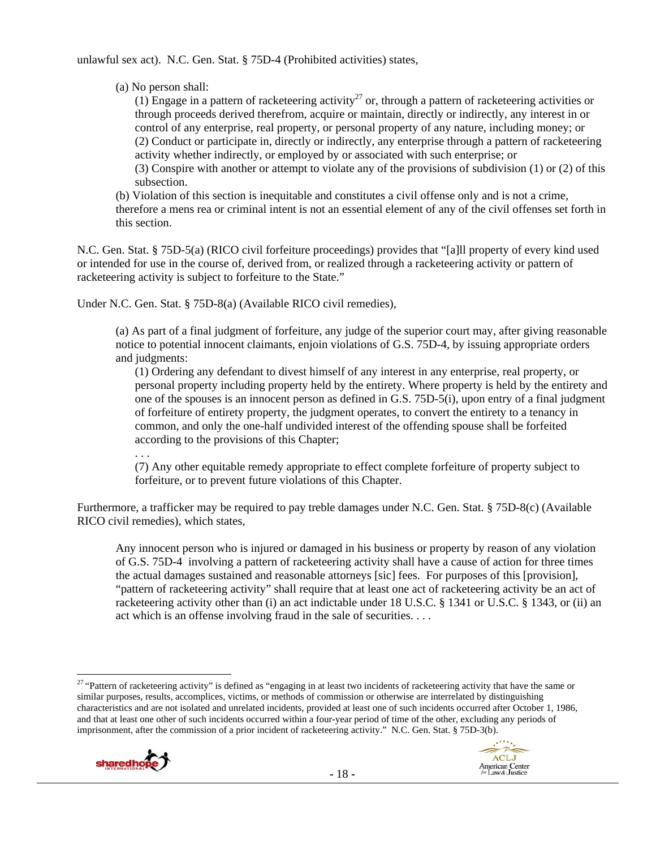unlawful sex act). N.C. Gen. Stat. § 75D-4 (Prohibited activities) states,

(a) No person shall:

(1) Engage in a pattern of racketeering activity<sup>27</sup> or, through a pattern of racketeering activities or through proceeds derived therefrom, acquire or maintain, directly or indirectly, any interest in or control of any enterprise, real property, or personal property of any nature, including money; or (2) Conduct or participate in, directly or indirectly, any enterprise through a pattern of racketeering activity whether indirectly, or employed by or associated with such enterprise; or (3) Conspire with another or attempt to violate any of the provisions of subdivision (1) or (2) of this subsection.

(b) Violation of this section is inequitable and constitutes a civil offense only and is not a crime, therefore a mens rea or criminal intent is not an essential element of any of the civil offenses set forth in this section.

N.C. Gen. Stat. § 75D-5(a) (RICO civil forfeiture proceedings) provides that "[a]ll property of every kind used or intended for use in the course of, derived from, or realized through a racketeering activity or pattern of racketeering activity is subject to forfeiture to the State."

Under N.C. Gen. Stat. § 75D-8(a) (Available RICO civil remedies),

(a) As part of a final judgment of forfeiture, any judge of the superior court may, after giving reasonable notice to potential innocent claimants, enjoin violations of G.S. 75D-4, by issuing appropriate orders and judgments:

(1) Ordering any defendant to divest himself of any interest in any enterprise, real property, or personal property including property held by the entirety. Where property is held by the entirety and one of the spouses is an innocent person as defined in G.S. 75D-5(i), upon entry of a final judgment of forfeiture of entirety property, the judgment operates, to convert the entirety to a tenancy in common, and only the one-half undivided interest of the offending spouse shall be forfeited according to the provisions of this Chapter;

(7) Any other equitable remedy appropriate to effect complete forfeiture of property subject to forfeiture, or to prevent future violations of this Chapter.

Furthermore, a trafficker may be required to pay treble damages under N.C. Gen. Stat. § 75D-8(c) (Available RICO civil remedies), which states,

Any innocent person who is injured or damaged in his business or property by reason of any violation of G.S. 75D-4 involving a pattern of racketeering activity shall have a cause of action for three times the actual damages sustained and reasonable attorneys [sic] fees. For purposes of this [provision], "pattern of racketeering activity" shall require that at least one act of racketeering activity be an act of racketeering activity other than (i) an act indictable under 18 U.S.C. § 1341 or U.S.C. § 1343, or (ii) an act which is an offense involving fraud in the sale of securities. . . .

 $^{27}$  "Pattern of racketeering activity" is defined as "engaging in at least two incidents of racketeering activity that have the same or similar purposes, results, accomplices, victims, or methods of commission or otherwise are interrelated by distinguishing characteristics and are not isolated and unrelated incidents, provided at least one of such incidents occurred after October 1, 1986, and that at least one other of such incidents occurred within a four-year period of time of the other, excluding any periods of imprisonment, after the commission of a prior incident of racketeering activity." N.C. Gen. Stat. § 75D-3(b).



. . .

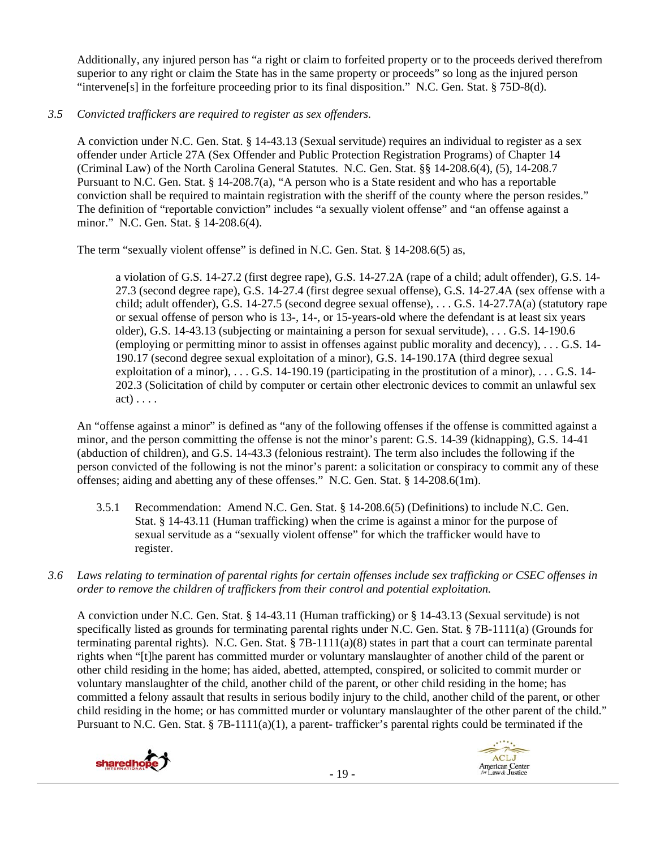Additionally, any injured person has "a right or claim to forfeited property or to the proceeds derived therefrom superior to any right or claim the State has in the same property or proceeds" so long as the injured person "intervene[s] in the forfeiture proceeding prior to its final disposition." N.C. Gen. Stat. § 75D-8(d).

# *3.5 Convicted traffickers are required to register as sex offenders.*

A conviction under N.C. Gen. Stat. § 14-43.13 (Sexual servitude) requires an individual to register as a sex offender under Article 27A (Sex Offender and Public Protection Registration Programs) of Chapter 14 (Criminal Law) of the North Carolina General Statutes. N.C. Gen. Stat. §§ 14-208.6(4), (5), 14-208.7 Pursuant to N.C. Gen. Stat. § 14-208.7(a), "A person who is a State resident and who has a reportable conviction shall be required to maintain registration with the sheriff of the county where the person resides." The definition of "reportable conviction" includes "a sexually violent offense" and "an offense against a minor." N.C. Gen. Stat. § 14-208.6(4).

The term "sexually violent offense" is defined in N.C. Gen. Stat. § 14-208.6(5) as,

a violation of G.S. 14-27.2 (first degree rape), G.S. 14-27.2A (rape of a child; adult offender), G.S. 14- 27.3 (second degree rape), G.S. 14-27.4 (first degree sexual offense), G.S. 14-27.4A (sex offense with a child; adult offender), G.S. 14-27.5 (second degree sexual offense), . . . G.S. 14-27.7A(a) (statutory rape or sexual offense of person who is 13-, 14-, or 15-years-old where the defendant is at least six years older), G.S. 14-43.13 (subjecting or maintaining a person for sexual servitude), . . . G.S. 14-190.6 (employing or permitting minor to assist in offenses against public morality and decency), . . . G.S. 14- 190.17 (second degree sexual exploitation of a minor), G.S. 14-190.17A (third degree sexual exploitation of a minor), . . . G.S. 14-190.19 (participating in the prostitution of a minor), . . . G.S. 14- 202.3 (Solicitation of child by computer or certain other electronic devices to commit an unlawful sex  $act) \ldots$ .

An "offense against a minor" is defined as "any of the following offenses if the offense is committed against a minor, and the person committing the offense is not the minor's parent: G.S. 14-39 (kidnapping), G.S. 14-41 (abduction of children), and G.S. 14-43.3 (felonious restraint). The term also includes the following if the person convicted of the following is not the minor's parent: a solicitation or conspiracy to commit any of these offenses; aiding and abetting any of these offenses." N.C. Gen. Stat. § 14-208.6(1m).

- 3.5.1 Recommendation: Amend N.C. Gen. Stat. § 14-208.6(5) (Definitions) to include N.C. Gen. Stat. § 14-43.11 (Human trafficking) when the crime is against a minor for the purpose of sexual servitude as a "sexually violent offense" for which the trafficker would have to register.
- *3.6 Laws relating to termination of parental rights for certain offenses include sex trafficking or CSEC offenses in order to remove the children of traffickers from their control and potential exploitation.*

A conviction under N.C. Gen. Stat. § 14-43.11 (Human trafficking) or § 14-43.13 (Sexual servitude) is not specifically listed as grounds for terminating parental rights under N.C. Gen. Stat. § 7B-1111(a) (Grounds for terminating parental rights). N.C. Gen. Stat. § 7B-1111(a)(8) states in part that a court can terminate parental rights when "[t]he parent has committed murder or voluntary manslaughter of another child of the parent or other child residing in the home; has aided, abetted, attempted, conspired, or solicited to commit murder or voluntary manslaughter of the child, another child of the parent, or other child residing in the home; has committed a felony assault that results in serious bodily injury to the child, another child of the parent, or other child residing in the home; or has committed murder or voluntary manslaughter of the other parent of the child." Pursuant to N.C. Gen. Stat. § 7B-1111(a)(1), a parent- trafficker's parental rights could be terminated if the



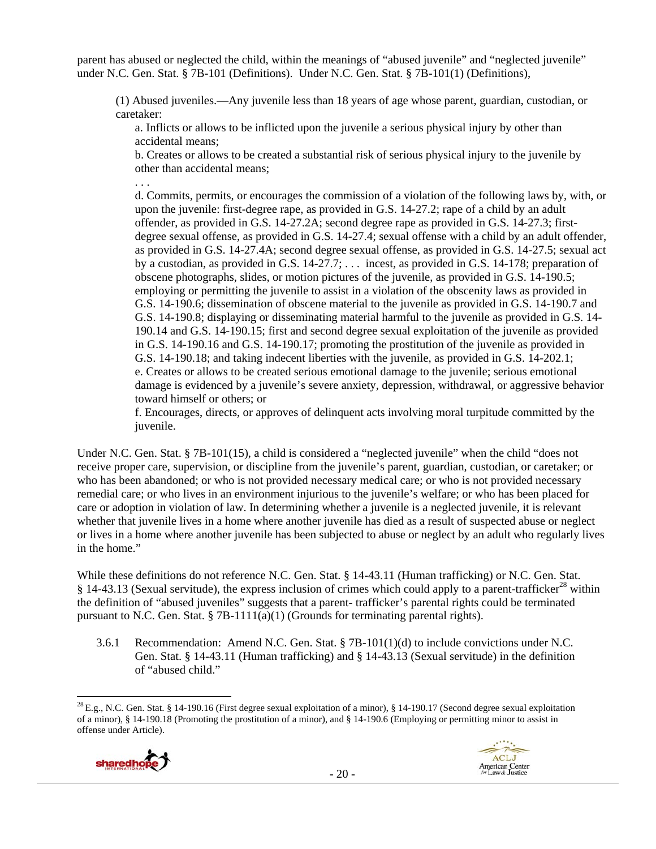parent has abused or neglected the child, within the meanings of "abused juvenile" and "neglected juvenile" under N.C. Gen. Stat. § 7B-101 (Definitions). Under N.C. Gen. Stat. § 7B-101(1) (Definitions),

(1) Abused juveniles.—Any juvenile less than 18 years of age whose parent, guardian, custodian, or caretaker:

a. Inflicts or allows to be inflicted upon the juvenile a serious physical injury by other than accidental means;

b. Creates or allows to be created a substantial risk of serious physical injury to the juvenile by other than accidental means;

d. Commits, permits, or encourages the commission of a violation of the following laws by, with, or upon the juvenile: first-degree rape, as provided in G.S. 14-27.2; rape of a child by an adult offender, as provided in G.S. 14-27.2A; second degree rape as provided in G.S. 14-27.3; firstdegree sexual offense, as provided in G.S. 14-27.4; sexual offense with a child by an adult offender, as provided in G.S. 14-27.4A; second degree sexual offense, as provided in G.S. 14-27.5; sexual act by a custodian, as provided in G.S. 14-27.7; . . . incest, as provided in G.S. 14-178; preparation of obscene photographs, slides, or motion pictures of the juvenile, as provided in G.S. 14-190.5; employing or permitting the juvenile to assist in a violation of the obscenity laws as provided in G.S. 14-190.6; dissemination of obscene material to the juvenile as provided in G.S. 14-190.7 and G.S. 14-190.8; displaying or disseminating material harmful to the juvenile as provided in G.S. 14- 190.14 and G.S. 14-190.15; first and second degree sexual exploitation of the juvenile as provided in G.S. 14-190.16 and G.S. 14-190.17; promoting the prostitution of the juvenile as provided in G.S. 14-190.18; and taking indecent liberties with the juvenile, as provided in G.S. 14-202.1; e. Creates or allows to be created serious emotional damage to the juvenile; serious emotional damage is evidenced by a juvenile's severe anxiety, depression, withdrawal, or aggressive behavior toward himself or others; or

f. Encourages, directs, or approves of delinquent acts involving moral turpitude committed by the juvenile.

Under N.C. Gen. Stat. § 7B-101(15), a child is considered a "neglected juvenile" when the child "does not receive proper care, supervision, or discipline from the juvenile's parent, guardian, custodian, or caretaker; or who has been abandoned; or who is not provided necessary medical care; or who is not provided necessary remedial care; or who lives in an environment injurious to the juvenile's welfare; or who has been placed for care or adoption in violation of law. In determining whether a juvenile is a neglected juvenile, it is relevant whether that juvenile lives in a home where another juvenile has died as a result of suspected abuse or neglect or lives in a home where another juvenile has been subjected to abuse or neglect by an adult who regularly lives in the home."

While these definitions do not reference N.C. Gen. Stat. § 14-43.11 (Human trafficking) or N.C. Gen. Stat.  $§$  14-43.13 (Sexual servitude), the express inclusion of crimes which could apply to a parent-trafficker<sup>28</sup> within the definition of "abused juveniles" suggests that a parent- trafficker's parental rights could be terminated pursuant to N.C. Gen. Stat.  $\S 7B-1111(a)(1)$  (Grounds for terminating parental rights).

3.6.1 Recommendation: Amend N.C. Gen. Stat. § 7B-101(1)(d) to include convictions under N.C. Gen. Stat. § 14-43.11 (Human trafficking) and § 14-43.13 (Sexual servitude) in the definition of "abused child."

  $^{28}$  E.g., N.C. Gen. Stat. § 14-190.16 (First degree sexual exploitation of a minor), § 14-190.17 (Second degree sexual exploitation of a minor), § 14-190.18 (Promoting the prostitution of a minor), and § 14-190.6 (Employing or permitting minor to assist in offense under Article).



. . .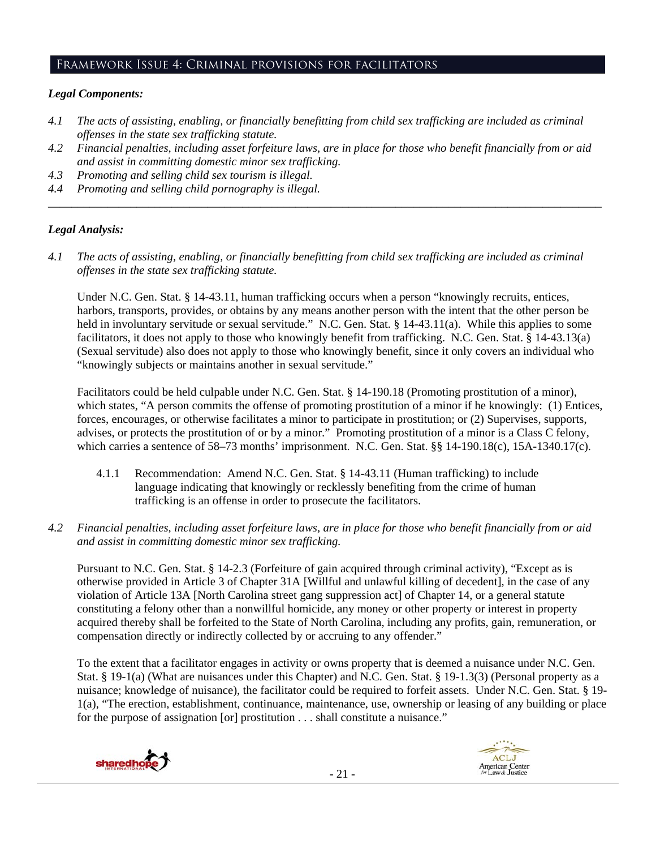# Framework Issue 4: Criminal provisions for facilitators

# *Legal Components:*

- *4.1 The acts of assisting, enabling, or financially benefitting from child sex trafficking are included as criminal offenses in the state sex trafficking statute.*
- *4.2 Financial penalties, including asset forfeiture laws, are in place for those who benefit financially from or aid and assist in committing domestic minor sex trafficking.*
- *4.3 Promoting and selling child sex tourism is illegal.*
- *4.4 Promoting and selling child pornography is illegal. \_\_\_\_\_\_\_\_\_\_\_\_\_\_\_\_\_\_\_\_\_\_\_\_\_\_\_\_\_\_\_\_\_\_\_\_\_\_\_\_\_\_\_\_\_\_\_\_\_\_\_\_\_\_\_\_\_\_\_\_\_\_\_\_\_\_\_\_\_\_\_\_\_\_\_\_\_\_\_\_\_\_\_\_\_\_\_\_\_\_\_\_\_\_*

# *Legal Analysis:*

*4.1 The acts of assisting, enabling, or financially benefitting from child sex trafficking are included as criminal offenses in the state sex trafficking statute.*

Under N.C. Gen. Stat. § 14-43.11, human trafficking occurs when a person "knowingly recruits, entices, harbors, transports, provides, or obtains by any means another person with the intent that the other person be held in involuntary servitude or sexual servitude." N.C. Gen. Stat. § 14-43.11(a). While this applies to some facilitators, it does not apply to those who knowingly benefit from trafficking. N.C. Gen. Stat. § 14-43.13(a) (Sexual servitude) also does not apply to those who knowingly benefit, since it only covers an individual who "knowingly subjects or maintains another in sexual servitude."

Facilitators could be held culpable under N.C. Gen. Stat. § 14-190.18 (Promoting prostitution of a minor), which states, "A person commits the offense of promoting prostitution of a minor if he knowingly: (1) Entices, forces, encourages, or otherwise facilitates a minor to participate in prostitution; or (2) Supervises, supports, advises, or protects the prostitution of or by a minor." Promoting prostitution of a minor is a Class C felony, which carries a sentence of 58–73 months' imprisonment. N.C. Gen. Stat. §§ 14-190.18(c), 15A-1340.17(c).

- 4.1.1 Recommendation: Amend N.C. Gen. Stat. § 14-43.11 (Human trafficking) to include language indicating that knowingly or recklessly benefiting from the crime of human trafficking is an offense in order to prosecute the facilitators.
- *4.2 Financial penalties, including asset forfeiture laws, are in place for those who benefit financially from or aid and assist in committing domestic minor sex trafficking.*

Pursuant to N.C. Gen. Stat. § 14-2.3 (Forfeiture of gain acquired through criminal activity), "Except as is otherwise provided in Article 3 of Chapter 31A [Willful and unlawful killing of decedent], in the case of any violation of Article 13A [North Carolina street gang suppression act] of Chapter 14, or a general statute constituting a felony other than a nonwillful homicide, any money or other property or interest in property acquired thereby shall be forfeited to the State of North Carolina, including any profits, gain, remuneration, or compensation directly or indirectly collected by or accruing to any offender."

To the extent that a facilitator engages in activity or owns property that is deemed a nuisance under N.C. Gen. Stat. § 19-1(a) (What are nuisances under this Chapter) and N.C. Gen. Stat. § 19-1.3(3) (Personal property as a nuisance; knowledge of nuisance), the facilitator could be required to forfeit assets. Under N.C. Gen. Stat. § 19- 1(a), "The erection, establishment, continuance, maintenance, use, ownership or leasing of any building or place for the purpose of assignation [or] prostitution . . . shall constitute a nuisance."





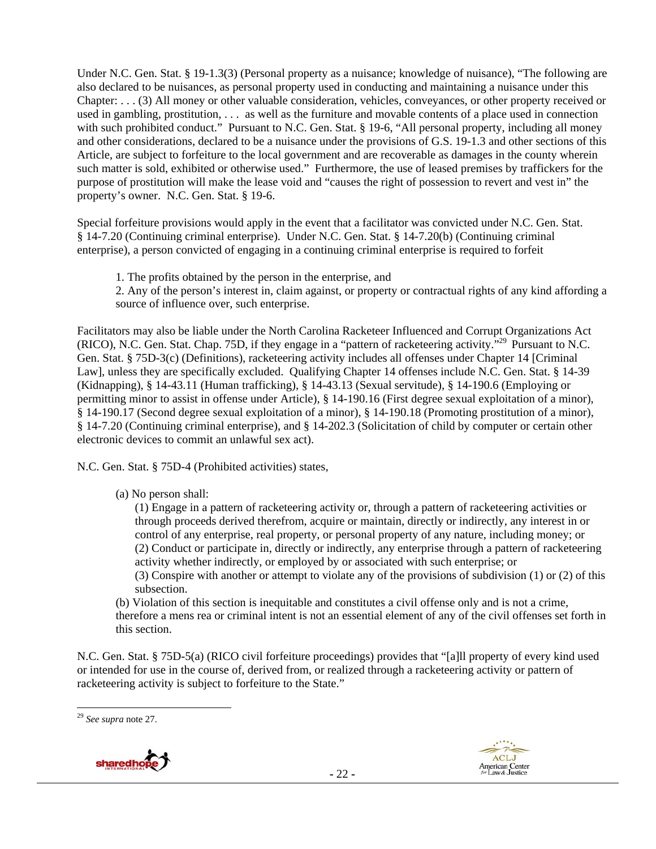Under N.C. Gen. Stat. § 19-1.3(3) (Personal property as a nuisance; knowledge of nuisance), "The following are also declared to be nuisances, as personal property used in conducting and maintaining a nuisance under this Chapter: . . . (3) All money or other valuable consideration, vehicles, conveyances, or other property received or used in gambling, prostitution, . . . as well as the furniture and movable contents of a place used in connection with such prohibited conduct." Pursuant to N.C. Gen. Stat. § 19-6, "All personal property, including all money and other considerations, declared to be a nuisance under the provisions of G.S. 19-1.3 and other sections of this Article, are subject to forfeiture to the local government and are recoverable as damages in the county wherein such matter is sold, exhibited or otherwise used." Furthermore, the use of leased premises by traffickers for the purpose of prostitution will make the lease void and "causes the right of possession to revert and vest in" the property's owner. N.C. Gen. Stat. § 19-6.

Special forfeiture provisions would apply in the event that a facilitator was convicted under N.C. Gen. Stat. § 14-7.20 (Continuing criminal enterprise). Under N.C. Gen. Stat. § 14-7.20(b) (Continuing criminal enterprise), a person convicted of engaging in a continuing criminal enterprise is required to forfeit

1. The profits obtained by the person in the enterprise, and

2. Any of the person's interest in, claim against, or property or contractual rights of any kind affording a source of influence over, such enterprise.

Facilitators may also be liable under the North Carolina Racketeer Influenced and Corrupt Organizations Act (RICO), N.C. Gen. Stat. Chap. 75D, if they engage in a "pattern of racketeering activity."29 Pursuant to N.C. Gen. Stat. § 75D-3(c) (Definitions), racketeering activity includes all offenses under Chapter 14 [Criminal Law], unless they are specifically excluded. Qualifying Chapter 14 offenses include N.C. Gen. Stat. § 14-39 (Kidnapping), § 14-43.11 (Human trafficking), § 14-43.13 (Sexual servitude), § 14-190.6 (Employing or permitting minor to assist in offense under Article), § 14-190.16 (First degree sexual exploitation of a minor), § 14-190.17 (Second degree sexual exploitation of a minor), § 14-190.18 (Promoting prostitution of a minor), § 14-7.20 (Continuing criminal enterprise), and § 14-202.3 (Solicitation of child by computer or certain other electronic devices to commit an unlawful sex act).

N.C. Gen. Stat. § 75D-4 (Prohibited activities) states,

(a) No person shall:

(1) Engage in a pattern of racketeering activity or, through a pattern of racketeering activities or through proceeds derived therefrom, acquire or maintain, directly or indirectly, any interest in or control of any enterprise, real property, or personal property of any nature, including money; or (2) Conduct or participate in, directly or indirectly, any enterprise through a pattern of racketeering activity whether indirectly, or employed by or associated with such enterprise; or

(3) Conspire with another or attempt to violate any of the provisions of subdivision (1) or (2) of this subsection.

(b) Violation of this section is inequitable and constitutes a civil offense only and is not a crime, therefore a mens rea or criminal intent is not an essential element of any of the civil offenses set forth in this section.

N.C. Gen. Stat. § 75D-5(a) (RICO civil forfeiture proceedings) provides that "[a]ll property of every kind used or intended for use in the course of, derived from, or realized through a racketeering activity or pattern of racketeering activity is subject to forfeiture to the State."

 <sup>29</sup> *See supra* note 27.

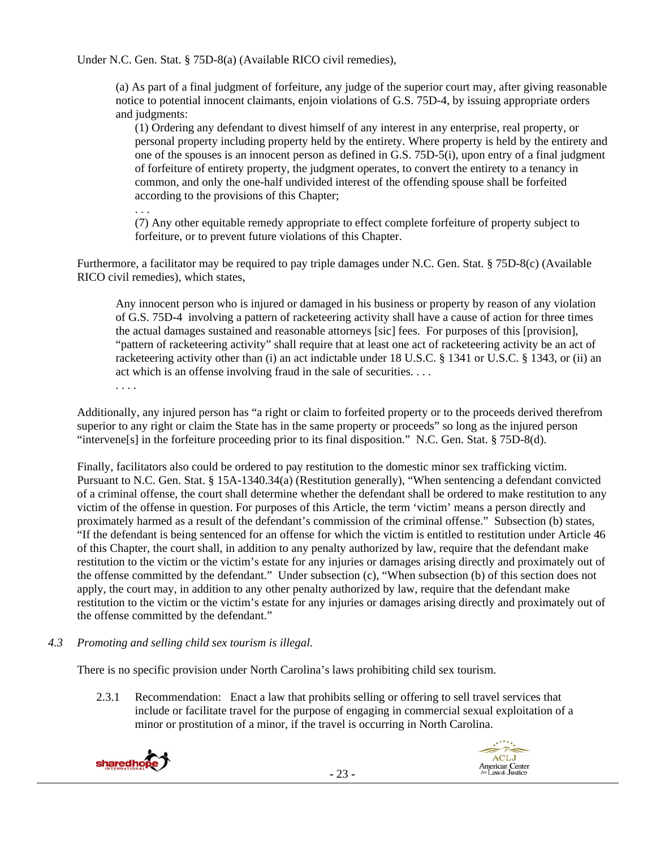Under N.C. Gen. Stat. § 75D-8(a) (Available RICO civil remedies),

(a) As part of a final judgment of forfeiture, any judge of the superior court may, after giving reasonable notice to potential innocent claimants, enjoin violations of G.S. 75D-4, by issuing appropriate orders and judgments:

(1) Ordering any defendant to divest himself of any interest in any enterprise, real property, or personal property including property held by the entirety. Where property is held by the entirety and one of the spouses is an innocent person as defined in G.S. 75D-5(i), upon entry of a final judgment of forfeiture of entirety property, the judgment operates, to convert the entirety to a tenancy in common, and only the one-half undivided interest of the offending spouse shall be forfeited according to the provisions of this Chapter;

(7) Any other equitable remedy appropriate to effect complete forfeiture of property subject to forfeiture, or to prevent future violations of this Chapter.

Furthermore, a facilitator may be required to pay triple damages under N.C. Gen. Stat. § 75D-8(c) (Available RICO civil remedies), which states,

Any innocent person who is injured or damaged in his business or property by reason of any violation of G.S. 75D-4 involving a pattern of racketeering activity shall have a cause of action for three times the actual damages sustained and reasonable attorneys [sic] fees. For purposes of this [provision], "pattern of racketeering activity" shall require that at least one act of racketeering activity be an act of racketeering activity other than (i) an act indictable under 18 U.S.C. § 1341 or U.S.C. § 1343, or (ii) an act which is an offense involving fraud in the sale of securities. . . . . . . .

Additionally, any injured person has "a right or claim to forfeited property or to the proceeds derived therefrom superior to any right or claim the State has in the same property or proceeds" so long as the injured person "intervene[s] in the forfeiture proceeding prior to its final disposition." N.C. Gen. Stat. § 75D-8(d).

Finally, facilitators also could be ordered to pay restitution to the domestic minor sex trafficking victim. Pursuant to N.C. Gen. Stat. § 15A-1340.34(a) (Restitution generally), "When sentencing a defendant convicted of a criminal offense, the court shall determine whether the defendant shall be ordered to make restitution to any victim of the offense in question. For purposes of this Article, the term 'victim' means a person directly and proximately harmed as a result of the defendant's commission of the criminal offense." Subsection (b) states, "If the defendant is being sentenced for an offense for which the victim is entitled to restitution under Article 46 of this Chapter, the court shall, in addition to any penalty authorized by law, require that the defendant make restitution to the victim or the victim's estate for any injuries or damages arising directly and proximately out of the offense committed by the defendant." Under subsection (c), "When subsection (b) of this section does not apply, the court may, in addition to any other penalty authorized by law, require that the defendant make restitution to the victim or the victim's estate for any injuries or damages arising directly and proximately out of the offense committed by the defendant."

# *4.3 Promoting and selling child sex tourism is illegal*.

There is no specific provision under North Carolina's laws prohibiting child sex tourism.

2.3.1 Recommendation: Enact a law that prohibits selling or offering to sell travel services that include or facilitate travel for the purpose of engaging in commercial sexual exploitation of a minor or prostitution of a minor, if the travel is occurring in North Carolina.



. . .

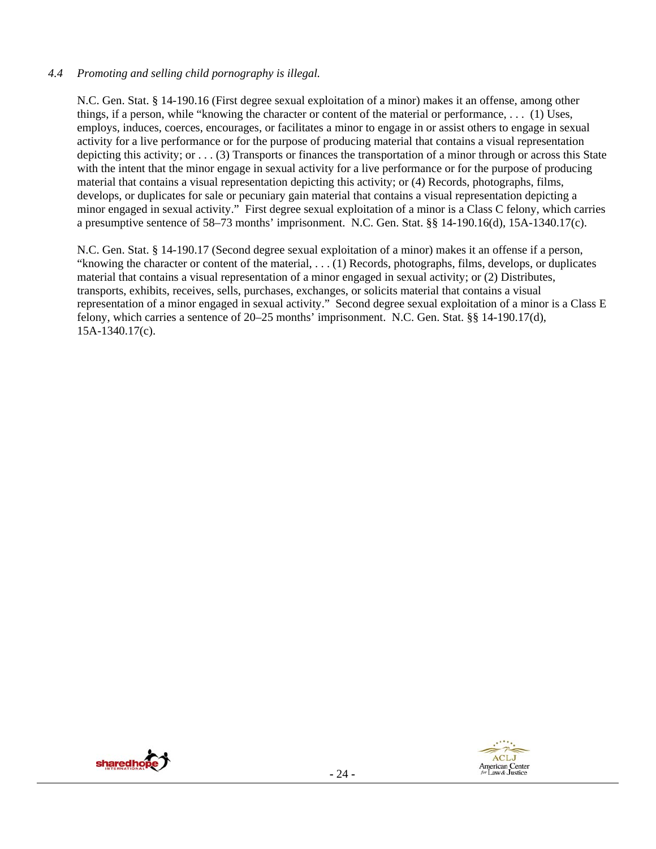# *4.4 Promoting and selling child pornography is illegal.*

N.C. Gen. Stat. § 14-190.16 (First degree sexual exploitation of a minor) makes it an offense, among other things, if a person, while "knowing the character or content of the material or performance, . . . (1) Uses, employs, induces, coerces, encourages, or facilitates a minor to engage in or assist others to engage in sexual activity for a live performance or for the purpose of producing material that contains a visual representation depicting this activity; or . . . (3) Transports or finances the transportation of a minor through or across this State with the intent that the minor engage in sexual activity for a live performance or for the purpose of producing material that contains a visual representation depicting this activity; or (4) Records, photographs, films, develops, or duplicates for sale or pecuniary gain material that contains a visual representation depicting a minor engaged in sexual activity." First degree sexual exploitation of a minor is a Class C felony, which carries a presumptive sentence of 58–73 months' imprisonment. N.C. Gen. Stat. §§ 14-190.16(d), 15A-1340.17(c).

N.C. Gen. Stat. § 14-190.17 (Second degree sexual exploitation of a minor) makes it an offense if a person, "knowing the character or content of the material, . . . (1) Records, photographs, films, develops, or duplicates material that contains a visual representation of a minor engaged in sexual activity; or (2) Distributes, transports, exhibits, receives, sells, purchases, exchanges, or solicits material that contains a visual representation of a minor engaged in sexual activity." Second degree sexual exploitation of a minor is a Class E felony, which carries a sentence of 20–25 months' imprisonment. N.C. Gen. Stat. §§ 14-190.17(d), 15A-1340.17(c).



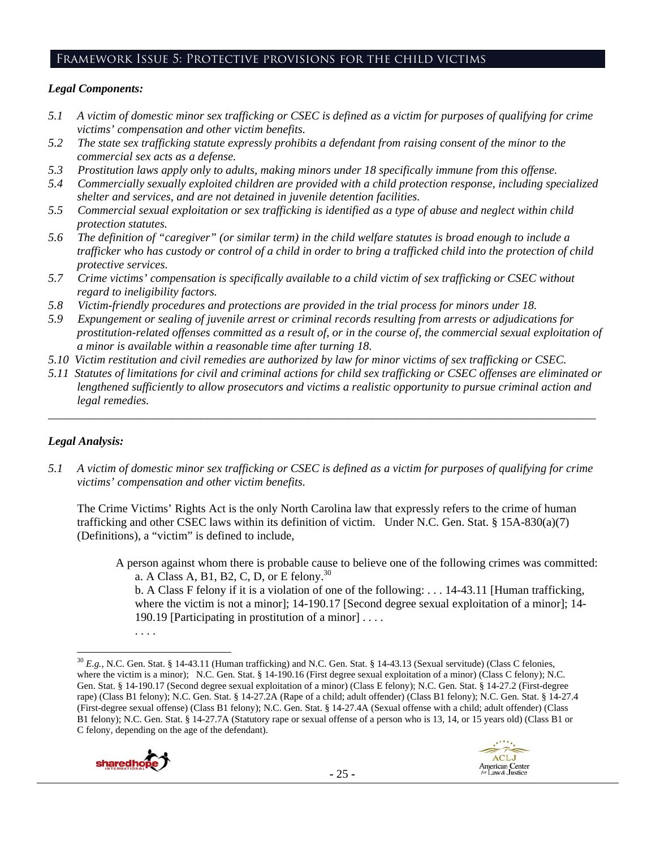# Framework Issue 5: Protective provisions for the child victims

# *Legal Components:*

- *5.1 A victim of domestic minor sex trafficking or CSEC is defined as a victim for purposes of qualifying for crime victims' compensation and other victim benefits.*
- *5.2 The state sex trafficking statute expressly prohibits a defendant from raising consent of the minor to the commercial sex acts as a defense.*
- *5.3 Prostitution laws apply only to adults, making minors under 18 specifically immune from this offense.*
- *5.4 Commercially sexually exploited children are provided with a child protection response, including specialized shelter and services, and are not detained in juvenile detention facilities.*
- *5.5 Commercial sexual exploitation or sex trafficking is identified as a type of abuse and neglect within child protection statutes.*
- *5.6 The definition of "caregiver" (or similar term) in the child welfare statutes is broad enough to include a trafficker who has custody or control of a child in order to bring a trafficked child into the protection of child protective services.*
- *5.7 Crime victims' compensation is specifically available to a child victim of sex trafficking or CSEC without regard to ineligibility factors.*
- *5.8 Victim-friendly procedures and protections are provided in the trial process for minors under 18.*
- *5.9 Expungement or sealing of juvenile arrest or criminal records resulting from arrests or adjudications for prostitution-related offenses committed as a result of, or in the course of, the commercial sexual exploitation of a minor is available within a reasonable time after turning 18.*
- *5.10 Victim restitution and civil remedies are authorized by law for minor victims of sex trafficking or CSEC.*
- *5.11 Statutes of limitations for civil and criminal actions for child sex trafficking or CSEC offenses are eliminated or lengthened sufficiently to allow prosecutors and victims a realistic opportunity to pursue criminal action and legal remedies.*

*\_\_\_\_\_\_\_\_\_\_\_\_\_\_\_\_\_\_\_\_\_\_\_\_\_\_\_\_\_\_\_\_\_\_\_\_\_\_\_\_\_\_\_\_\_\_\_\_\_\_\_\_\_\_\_\_\_\_\_\_\_\_\_\_\_\_\_\_\_\_\_\_\_\_\_\_\_\_\_\_\_\_\_\_\_\_\_\_\_\_\_\_\_* 

# *Legal Analysis:*

*5.1 A victim of domestic minor sex trafficking or CSEC is defined as a victim for purposes of qualifying for crime victims' compensation and other victim benefits.* 

The Crime Victims' Rights Act is the only North Carolina law that expressly refers to the crime of human trafficking and other CSEC laws within its definition of victim. Under N.C. Gen. Stat. § 15A-830(a)(7) (Definitions), a "victim" is defined to include,

A person against whom there is probable cause to believe one of the following crimes was committed: a. A Class A, B1, B2, C, D, or E felony.<sup>30</sup>

b. A Class F felony if it is a violation of one of the following: . . . 14-43.11 [Human trafficking, where the victim is not a minor]; 14-190.17 [Second degree sexual exploitation of a minor]; 14-190.19 [Participating in prostitution of a minor] . . . .

  $^{30}$  *E.g.*, N.C. Gen. Stat. § 14-43.11 (Human trafficking) and N.C. Gen. Stat. § 14-43.13 (Sexual servitude) (Class C felonies, where the victim is a minor); N.C. Gen. Stat. § 14-190.16 (First degree sexual exploitation of a minor) (Class C felony); N.C. Gen. Stat. § 14-190.17 (Second degree sexual exploitation of a minor) (Class E felony); N.C. Gen. Stat. § 14-27.2 (First-degree rape) (Class B1 felony); N.C. Gen. Stat. § 14-27.2A (Rape of a child; adult offender) (Class B1 felony); N.C. Gen. Stat. § 14-27.4 (First-degree sexual offense) (Class B1 felony); N.C. Gen. Stat. § 14-27.4A (Sexual offense with a child; adult offender) (Class B1 felony); N.C. Gen. Stat. § 14-27.7A (Statutory rape or sexual offense of a person who is 13, 14, or 15 years old) (Class B1 or C felony, depending on the age of the defendant).



<sup>. . . .</sup>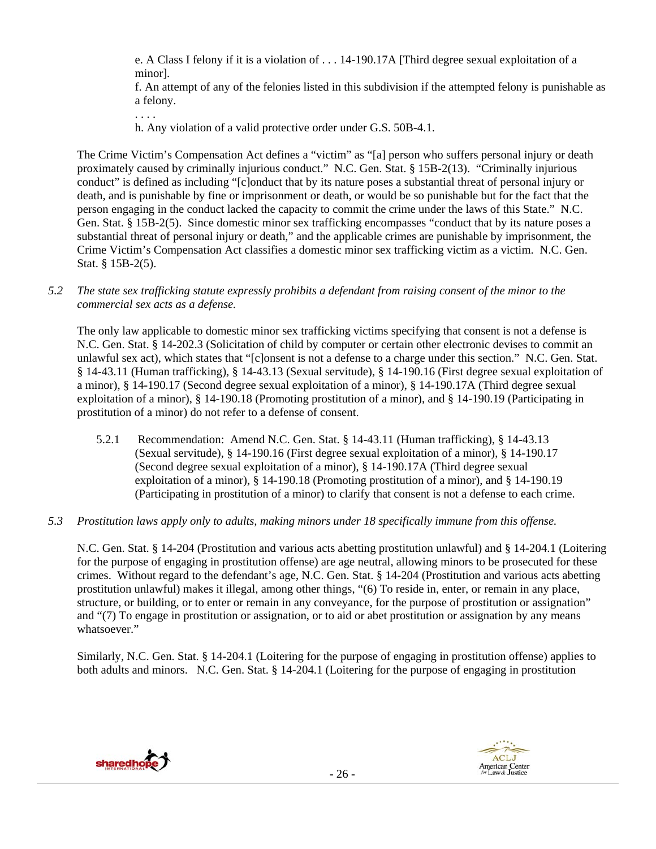e. A Class I felony if it is a violation of . . . 14-190.17A [Third degree sexual exploitation of a minor].

f. An attempt of any of the felonies listed in this subdivision if the attempted felony is punishable as a felony.

. . . .

h. Any violation of a valid protective order under G.S. 50B-4.1.

The Crime Victim's Compensation Act defines a "victim" as "[a] person who suffers personal injury or death proximately caused by criminally injurious conduct." N.C. Gen. Stat. § 15B-2(13). "Criminally injurious conduct" is defined as including "[c]onduct that by its nature poses a substantial threat of personal injury or death, and is punishable by fine or imprisonment or death, or would be so punishable but for the fact that the person engaging in the conduct lacked the capacity to commit the crime under the laws of this State." N.C. Gen. Stat. § 15B-2(5). Since domestic minor sex trafficking encompasses "conduct that by its nature poses a substantial threat of personal injury or death," and the applicable crimes are punishable by imprisonment, the Crime Victim's Compensation Act classifies a domestic minor sex trafficking victim as a victim. N.C. Gen. Stat. § 15B-2(5).

*5.2 The state sex trafficking statute expressly prohibits a defendant from raising consent of the minor to the commercial sex acts as a defense.* 

The only law applicable to domestic minor sex trafficking victims specifying that consent is not a defense is N.C. Gen. Stat. § 14-202.3 (Solicitation of child by computer or certain other electronic devises to commit an unlawful sex act), which states that "[c]onsent is not a defense to a charge under this section." N.C. Gen. Stat. § 14-43.11 (Human trafficking), § 14-43.13 (Sexual servitude), § 14-190.16 (First degree sexual exploitation of a minor), § 14-190.17 (Second degree sexual exploitation of a minor), § 14-190.17A (Third degree sexual exploitation of a minor), § 14-190.18 (Promoting prostitution of a minor), and § 14-190.19 (Participating in prostitution of a minor) do not refer to a defense of consent.

5.2.1 Recommendation: Amend N.C. Gen. Stat. § 14-43.11 (Human trafficking), § 14-43.13 (Sexual servitude), § 14-190.16 (First degree sexual exploitation of a minor), § 14-190.17 (Second degree sexual exploitation of a minor), § 14-190.17A (Third degree sexual exploitation of a minor), § 14-190.18 (Promoting prostitution of a minor), and § 14-190.19 (Participating in prostitution of a minor) to clarify that consent is not a defense to each crime.

#### *5.3 Prostitution laws apply only to adults, making minors under 18 specifically immune from this offense.*

N.C. Gen. Stat. § 14-204 (Prostitution and various acts abetting prostitution unlawful) and § 14-204.1 (Loitering for the purpose of engaging in prostitution offense) are age neutral, allowing minors to be prosecuted for these crimes. Without regard to the defendant's age, N.C. Gen. Stat. § 14-204 (Prostitution and various acts abetting prostitution unlawful) makes it illegal, among other things, "(6) To reside in, enter, or remain in any place, structure, or building, or to enter or remain in any conveyance, for the purpose of prostitution or assignation" and "(7) To engage in prostitution or assignation, or to aid or abet prostitution or assignation by any means whatsoever."

Similarly, N.C. Gen. Stat. § 14-204.1 (Loitering for the purpose of engaging in prostitution offense) applies to both adults and minors. N.C. Gen. Stat. § 14-204.1 (Loitering for the purpose of engaging in prostitution

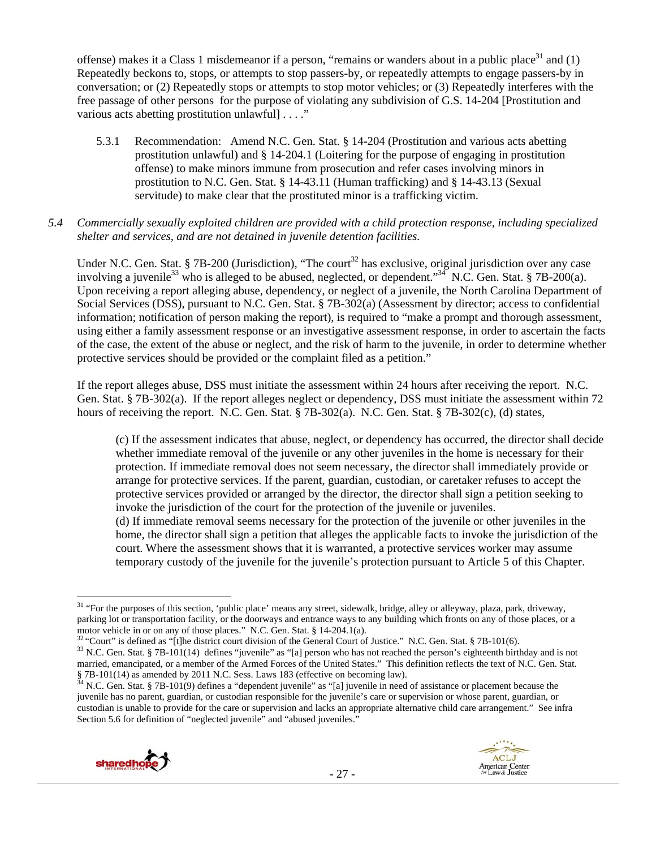offense) makes it a Class 1 misdemeanor if a person, "remains or wanders about in a public place<sup>31</sup> and  $(1)$ Repeatedly beckons to, stops, or attempts to stop passers-by, or repeatedly attempts to engage passers-by in conversation; or (2) Repeatedly stops or attempts to stop motor vehicles; or (3) Repeatedly interferes with the free passage of other persons for the purpose of violating any subdivision of G.S. 14-204 [Prostitution and various acts abetting prostitution unlawful] . . . ."

5.3.1 Recommendation: Amend N.C. Gen. Stat. § 14-204 (Prostitution and various acts abetting prostitution unlawful) and § 14-204.1 (Loitering for the purpose of engaging in prostitution offense) to make minors immune from prosecution and refer cases involving minors in prostitution to N.C. Gen. Stat. § 14-43.11 (Human trafficking) and § 14-43.13 (Sexual servitude) to make clear that the prostituted minor is a trafficking victim.

# *5.4 Commercially sexually exploited children are provided with a child protection response, including specialized shelter and services, and are not detained in juvenile detention facilities.*

Under N.C. Gen. Stat. § 7B-200 (Jurisdiction), "The court<sup>32</sup> has exclusive, original jurisdiction over any case involving a juvenile<sup>33</sup> who is alleged to be abused, neglected, or dependent."<sup>34</sup> N.C. Gen. Stat. § 7B-200(a). Upon receiving a report alleging abuse, dependency, or neglect of a juvenile, the North Carolina Department of Social Services (DSS), pursuant to N.C. Gen. Stat. § 7B-302(a) (Assessment by director; access to confidential information; notification of person making the report), is required to "make a prompt and thorough assessment, using either a family assessment response or an investigative assessment response, in order to ascertain the facts of the case, the extent of the abuse or neglect, and the risk of harm to the juvenile, in order to determine whether protective services should be provided or the complaint filed as a petition."

If the report alleges abuse, DSS must initiate the assessment within 24 hours after receiving the report. N.C. Gen. Stat. § 7B-302(a). If the report alleges neglect or dependency, DSS must initiate the assessment within 72 hours of receiving the report. N.C. Gen. Stat. § 7B-302(a). N.C. Gen. Stat. § 7B-302(c), (d) states,

(c) If the assessment indicates that abuse, neglect, or dependency has occurred, the director shall decide whether immediate removal of the juvenile or any other juveniles in the home is necessary for their protection. If immediate removal does not seem necessary, the director shall immediately provide or arrange for protective services. If the parent, guardian, custodian, or caretaker refuses to accept the protective services provided or arranged by the director, the director shall sign a petition seeking to invoke the jurisdiction of the court for the protection of the juvenile or juveniles.

(d) If immediate removal seems necessary for the protection of the juvenile or other juveniles in the home, the director shall sign a petition that alleges the applicable facts to invoke the jurisdiction of the court. Where the assessment shows that it is warranted, a protective services worker may assume temporary custody of the juvenile for the juvenile's protection pursuant to Article 5 of this Chapter.

juvenile has no parent, guardian, or custodian responsible for the juvenile's care or supervision or whose parent, guardian, or custodian is unable to provide for the care or supervision and lacks an appropriate alternative child care arrangement." See infra Section 5.6 for definition of "neglected juvenile" and "abused juveniles."





  $31$  "For the purposes of this section, 'public place' means any street, sidewalk, bridge, alley or alleyway, plaza, park, driveway, parking lot or transportation facility, or the doorways and entrance ways to any building which fronts on any of those places, or a motor vehicle in or on any of those places." N.C. Gen. Stat. § 14-204.1(a).<br><sup>32</sup> "Court" is defined as "[t]he district court division of the General Court of Justice." N.C. Gen. Stat. § 7B-101(6).<br><sup>33</sup> N.C. Gen. Stat. § 7B

married, emancipated, or a member of the Armed Forces of the United States." This definition reflects the text of N.C. Gen. Stat. § 7B-101(14) as amended by 2011 N.C. Sess. Laws 183 (effective on becoming law). 34 N.C. Gen. Stat. § 7B-101(9) defines a "dependent juvenile" as "[a] juvenile in need of assistance or placement because the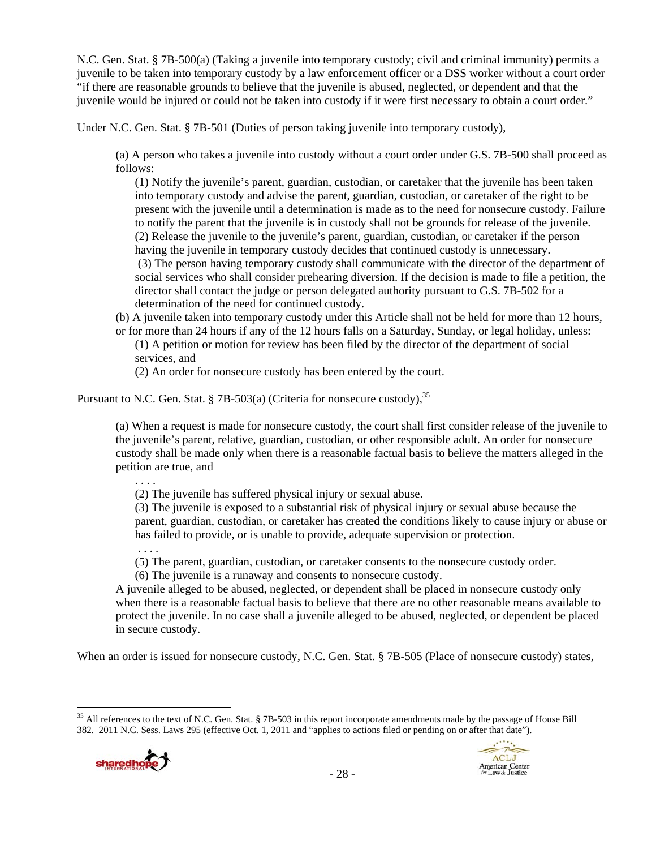N.C. Gen. Stat. § 7B-500(a) (Taking a juvenile into temporary custody; civil and criminal immunity) permits a juvenile to be taken into temporary custody by a law enforcement officer or a DSS worker without a court order "if there are reasonable grounds to believe that the juvenile is abused, neglected, or dependent and that the juvenile would be injured or could not be taken into custody if it were first necessary to obtain a court order."

Under N.C. Gen. Stat. § 7B-501 (Duties of person taking juvenile into temporary custody),

(a) A person who takes a juvenile into custody without a court order under G.S. 7B-500 shall proceed as follows:

(1) Notify the juvenile's parent, guardian, custodian, or caretaker that the juvenile has been taken into temporary custody and advise the parent, guardian, custodian, or caretaker of the right to be present with the juvenile until a determination is made as to the need for nonsecure custody. Failure to notify the parent that the juvenile is in custody shall not be grounds for release of the juvenile. (2) Release the juvenile to the juvenile's parent, guardian, custodian, or caretaker if the person having the juvenile in temporary custody decides that continued custody is unnecessary. (3) The person having temporary custody shall communicate with the director of the department of social services who shall consider prehearing diversion. If the decision is made to file a petition, the director shall contact the judge or person delegated authority pursuant to G.S. 7B-502 for a determination of the need for continued custody.

(b) A juvenile taken into temporary custody under this Article shall not be held for more than 12 hours,

or for more than 24 hours if any of the 12 hours falls on a Saturday, Sunday, or legal holiday, unless: (1) A petition or motion for review has been filed by the director of the department of social services, and

(2) An order for nonsecure custody has been entered by the court.

Pursuant to N.C. Gen. Stat. § 7B-503(a) (Criteria for nonsecure custody),  $35$ 

(a) When a request is made for nonsecure custody, the court shall first consider release of the juvenile to the juvenile's parent, relative, guardian, custodian, or other responsible adult. An order for nonsecure custody shall be made only when there is a reasonable factual basis to believe the matters alleged in the petition are true, and

. . . .

. . . .

(2) The juvenile has suffered physical injury or sexual abuse.

(3) The juvenile is exposed to a substantial risk of physical injury or sexual abuse because the parent, guardian, custodian, or caretaker has created the conditions likely to cause injury or abuse or has failed to provide, or is unable to provide, adequate supervision or protection.

(5) The parent, guardian, custodian, or caretaker consents to the nonsecure custody order.

(6) The juvenile is a runaway and consents to nonsecure custody.

A juvenile alleged to be abused, neglected, or dependent shall be placed in nonsecure custody only when there is a reasonable factual basis to believe that there are no other reasonable means available to protect the juvenile. In no case shall a juvenile alleged to be abused, neglected, or dependent be placed in secure custody.

When an order is issued for nonsecure custody, N.C. Gen. Stat. § 7B-505 (Place of nonsecure custody) states,

 $35$  All references to the text of N.C. Gen. Stat. § 7B-503 in this report incorporate amendments made by the passage of House Bill 382. 2011 N.C. Sess. Laws 295 (effective Oct. 1, 2011 and "applies to actions filed or pending on or after that date").



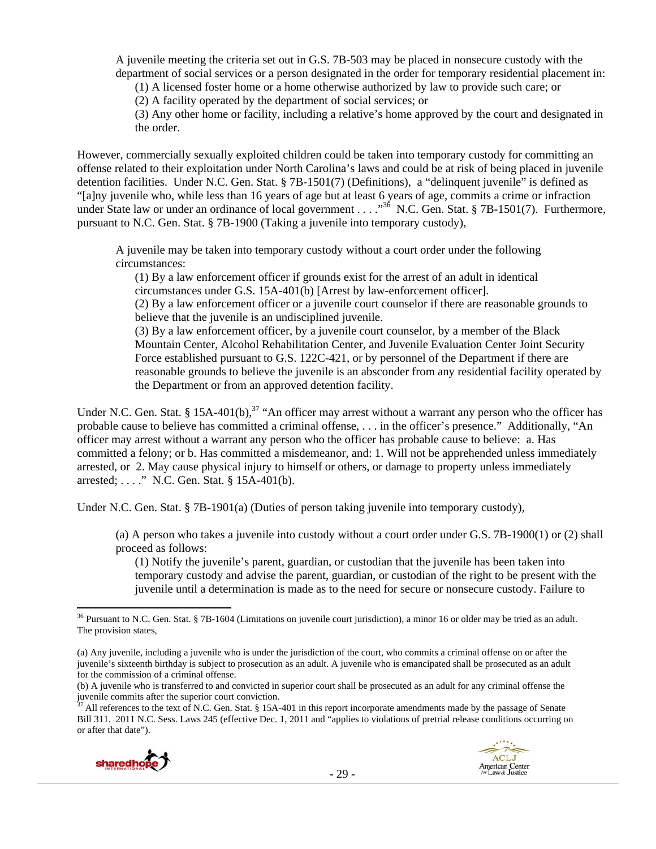A juvenile meeting the criteria set out in G.S. 7B-503 may be placed in nonsecure custody with the department of social services or a person designated in the order for temporary residential placement in:

(1) A licensed foster home or a home otherwise authorized by law to provide such care; or

(2) A facility operated by the department of social services; or

(3) Any other home or facility, including a relative's home approved by the court and designated in the order.

However, commercially sexually exploited children could be taken into temporary custody for committing an offense related to their exploitation under North Carolina's laws and could be at risk of being placed in juvenile detention facilities. Under N.C. Gen. Stat. § 7B-1501(7) (Definitions), a "delinquent juvenile" is defined as "[a]ny juvenile who, while less than 16 years of age but at least 6 years of age, commits a crime or infraction under State law or under an ordinance of local government . . . .<sup>336</sup> N.C. Gen. Stat. § 7B-1501(7). Furthermore, pursuant to N.C. Gen. Stat. § 7B-1900 (Taking a juvenile into temporary custody),

A juvenile may be taken into temporary custody without a court order under the following circumstances:

(1) By a law enforcement officer if grounds exist for the arrest of an adult in identical circumstances under G.S. 15A-401(b) [Arrest by law-enforcement officer].

(2) By a law enforcement officer or a juvenile court counselor if there are reasonable grounds to believe that the juvenile is an undisciplined juvenile.

(3) By a law enforcement officer, by a juvenile court counselor, by a member of the Black Mountain Center, Alcohol Rehabilitation Center, and Juvenile Evaluation Center Joint Security Force established pursuant to G.S. 122C-421, or by personnel of the Department if there are reasonable grounds to believe the juvenile is an absconder from any residential facility operated by the Department or from an approved detention facility.

Under N.C. Gen. Stat. § 15A-401(b),<sup>37</sup> "An officer may arrest without a warrant any person who the officer has probable cause to believe has committed a criminal offense, . . . in the officer's presence." Additionally, "An officer may arrest without a warrant any person who the officer has probable cause to believe: a. Has committed a felony; or b. Has committed a misdemeanor, and: 1. Will not be apprehended unless immediately arrested, or 2. May cause physical injury to himself or others, or damage to property unless immediately arrested; . . . ." N.C. Gen. Stat. § 15A-401(b).

Under N.C. Gen. Stat. § 7B-1901(a) (Duties of person taking juvenile into temporary custody),

(a) A person who takes a juvenile into custody without a court order under G.S. 7B-1900(1) or (2) shall proceed as follows:

(1) Notify the juvenile's parent, guardian, or custodian that the juvenile has been taken into temporary custody and advise the parent, guardian, or custodian of the right to be present with the juvenile until a determination is made as to the need for secure or nonsecure custody. Failure to

All references to the text of N.C. Gen. Stat. § 15A-401 in this report incorporate amendments made by the passage of Senate Bill 311. 2011 N.C. Sess. Laws 245 (effective Dec. 1, 2011 and "applies to violations of pretrial release conditions occurring on or after that date").





<sup>&</sup>lt;sup>36</sup> Pursuant to N.C. Gen. Stat. § 7B-1604 (Limitations on juvenile court jurisdiction), a minor 16 or older may be tried as an adult. The provision states,

<sup>(</sup>a) Any juvenile, including a juvenile who is under the jurisdiction of the court, who commits a criminal offense on or after the juvenile's sixteenth birthday is subject to prosecution as an adult. A juvenile who is emancipated shall be prosecuted as an adult for the commission of a criminal offense.

<sup>(</sup>b) A juvenile who is transferred to and convicted in superior court shall be prosecuted as an adult for any criminal offense the juvenile commits after the superior court conviction.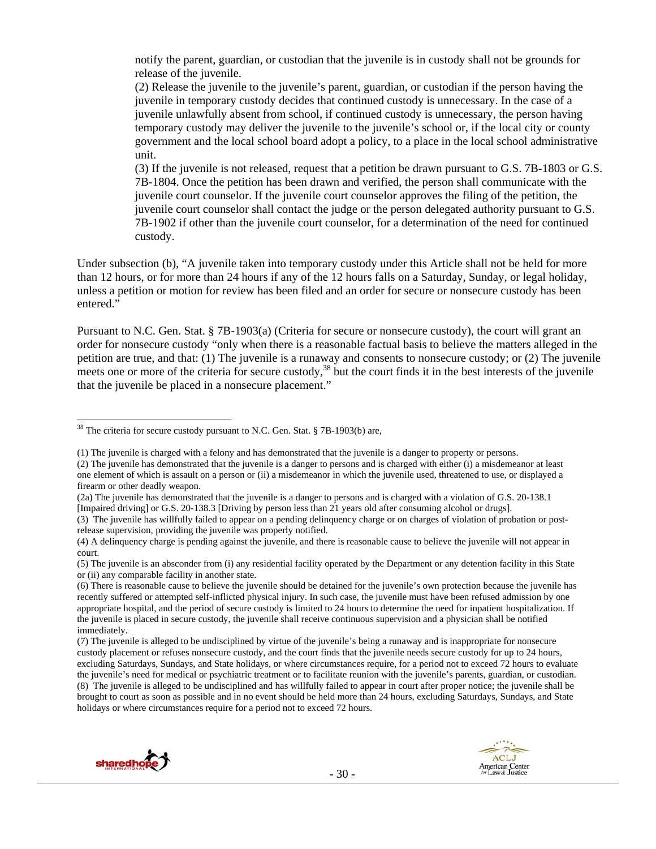notify the parent, guardian, or custodian that the juvenile is in custody shall not be grounds for release of the juvenile.

(2) Release the juvenile to the juvenile's parent, guardian, or custodian if the person having the juvenile in temporary custody decides that continued custody is unnecessary. In the case of a juvenile unlawfully absent from school, if continued custody is unnecessary, the person having temporary custody may deliver the juvenile to the juvenile's school or, if the local city or county government and the local school board adopt a policy, to a place in the local school administrative unit.

(3) If the juvenile is not released, request that a petition be drawn pursuant to G.S. 7B-1803 or G.S. 7B-1804. Once the petition has been drawn and verified, the person shall communicate with the juvenile court counselor. If the juvenile court counselor approves the filing of the petition, the juvenile court counselor shall contact the judge or the person delegated authority pursuant to G.S. 7B-1902 if other than the juvenile court counselor, for a determination of the need for continued custody.

Under subsection (b), "A juvenile taken into temporary custody under this Article shall not be held for more than 12 hours, or for more than 24 hours if any of the 12 hours falls on a Saturday, Sunday, or legal holiday, unless a petition or motion for review has been filed and an order for secure or nonsecure custody has been entered."

Pursuant to N.C. Gen. Stat. § 7B-1903(a) (Criteria for secure or nonsecure custody), the court will grant an order for nonsecure custody "only when there is a reasonable factual basis to believe the matters alleged in the petition are true, and that: (1) The juvenile is a runaway and consents to nonsecure custody; or (2) The juvenile meets one or more of the criteria for secure custody, $38$  but the court finds it in the best interests of the juvenile that the juvenile be placed in a nonsecure placement."

<sup>(7)</sup> The juvenile is alleged to be undisciplined by virtue of the juvenile's being a runaway and is inappropriate for nonsecure custody placement or refuses nonsecure custody, and the court finds that the juvenile needs secure custody for up to 24 hours, excluding Saturdays, Sundays, and State holidays, or where circumstances require, for a period not to exceed 72 hours to evaluate the juvenile's need for medical or psychiatric treatment or to facilitate reunion with the juvenile's parents, guardian, or custodian. (8) The juvenile is alleged to be undisciplined and has willfully failed to appear in court after proper notice; the juvenile shall be brought to court as soon as possible and in no event should be held more than 24 hours, excluding Saturdays, Sundays, and State holidays or where circumstances require for a period not to exceed 72 hours.





 $38$  The criteria for secure custody pursuant to N.C. Gen. Stat. § 7B-1903(b) are,

<sup>(1)</sup> The juvenile is charged with a felony and has demonstrated that the juvenile is a danger to property or persons.

<sup>(2)</sup> The juvenile has demonstrated that the juvenile is a danger to persons and is charged with either (i) a misdemeanor at least one element of which is assault on a person or (ii) a misdemeanor in which the juvenile used, threatened to use, or displayed a firearm or other deadly weapon.

<sup>(2</sup>a) The juvenile has demonstrated that the juvenile is a danger to persons and is charged with a violation of G.S. 20-138.1 [Impaired driving] or G.S. 20-138.3 [Driving by person less than 21 years old after consuming alcohol or drugs].

<sup>(3)</sup> The juvenile has willfully failed to appear on a pending delinquency charge or on charges of violation of probation or postrelease supervision, providing the juvenile was properly notified.

<sup>(4)</sup> A delinquency charge is pending against the juvenile, and there is reasonable cause to believe the juvenile will not appear in court.

<sup>(5)</sup> The juvenile is an absconder from (i) any residential facility operated by the Department or any detention facility in this State or (ii) any comparable facility in another state.

<sup>(6)</sup> There is reasonable cause to believe the juvenile should be detained for the juvenile's own protection because the juvenile has recently suffered or attempted self-inflicted physical injury. In such case, the juvenile must have been refused admission by one appropriate hospital, and the period of secure custody is limited to 24 hours to determine the need for inpatient hospitalization. If the juvenile is placed in secure custody, the juvenile shall receive continuous supervision and a physician shall be notified immediately.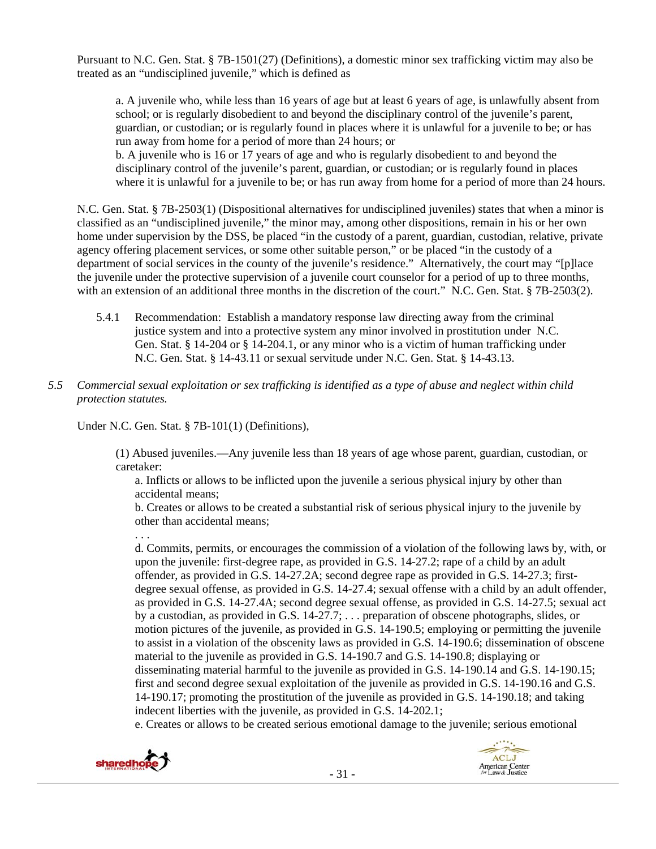Pursuant to N.C. Gen. Stat. § 7B-1501(27) (Definitions), a domestic minor sex trafficking victim may also be treated as an "undisciplined juvenile," which is defined as

a. A juvenile who, while less than 16 years of age but at least 6 years of age, is unlawfully absent from school; or is regularly disobedient to and beyond the disciplinary control of the juvenile's parent, guardian, or custodian; or is regularly found in places where it is unlawful for a juvenile to be; or has run away from home for a period of more than 24 hours; or

b. A juvenile who is 16 or 17 years of age and who is regularly disobedient to and beyond the disciplinary control of the juvenile's parent, guardian, or custodian; or is regularly found in places where it is unlawful for a juvenile to be; or has run away from home for a period of more than 24 hours.

N.C. Gen. Stat. § 7B-2503(1) (Dispositional alternatives for undisciplined juveniles) states that when a minor is classified as an "undisciplined juvenile," the minor may, among other dispositions, remain in his or her own home under supervision by the DSS, be placed "in the custody of a parent, guardian, custodian, relative, private agency offering placement services, or some other suitable person," or be placed "in the custody of a department of social services in the county of the juvenile's residence." Alternatively, the court may "[p]lace the juvenile under the protective supervision of a juvenile court counselor for a period of up to three months, with an extension of an additional three months in the discretion of the court." N.C. Gen. Stat. § 7B-2503(2).

- 5.4.1 Recommendation: Establish a mandatory response law directing away from the criminal justice system and into a protective system any minor involved in prostitution under N.C. Gen. Stat. § 14-204 or § 14-204.1, or any minor who is a victim of human trafficking under N.C. Gen. Stat. § 14-43.11 or sexual servitude under N.C. Gen. Stat. § 14-43.13.
- *5.5 Commercial sexual exploitation or sex trafficking is identified as a type of abuse and neglect within child protection statutes.*

Under N.C. Gen. Stat. § 7B-101(1) (Definitions),

(1) Abused juveniles.—Any juvenile less than 18 years of age whose parent, guardian, custodian, or caretaker:

a. Inflicts or allows to be inflicted upon the juvenile a serious physical injury by other than accidental means;

b. Creates or allows to be created a substantial risk of serious physical injury to the juvenile by other than accidental means;

d. Commits, permits, or encourages the commission of a violation of the following laws by, with, or upon the juvenile: first-degree rape, as provided in G.S. 14-27.2; rape of a child by an adult offender, as provided in G.S. 14-27.2A; second degree rape as provided in G.S. 14-27.3; firstdegree sexual offense, as provided in G.S. 14-27.4; sexual offense with a child by an adult offender, as provided in G.S. 14-27.4A; second degree sexual offense, as provided in G.S. 14-27.5; sexual act by a custodian, as provided in G.S. 14-27.7; . . . preparation of obscene photographs, slides, or motion pictures of the juvenile, as provided in G.S. 14-190.5; employing or permitting the juvenile to assist in a violation of the obscenity laws as provided in G.S. 14-190.6; dissemination of obscene material to the juvenile as provided in G.S. 14-190.7 and G.S. 14-190.8; displaying or disseminating material harmful to the juvenile as provided in G.S. 14-190.14 and G.S. 14-190.15; first and second degree sexual exploitation of the juvenile as provided in G.S. 14-190.16 and G.S. 14-190.17; promoting the prostitution of the juvenile as provided in G.S. 14-190.18; and taking indecent liberties with the juvenile, as provided in G.S. 14-202.1;

e. Creates or allows to be created serious emotional damage to the juvenile; serious emotional



. . .

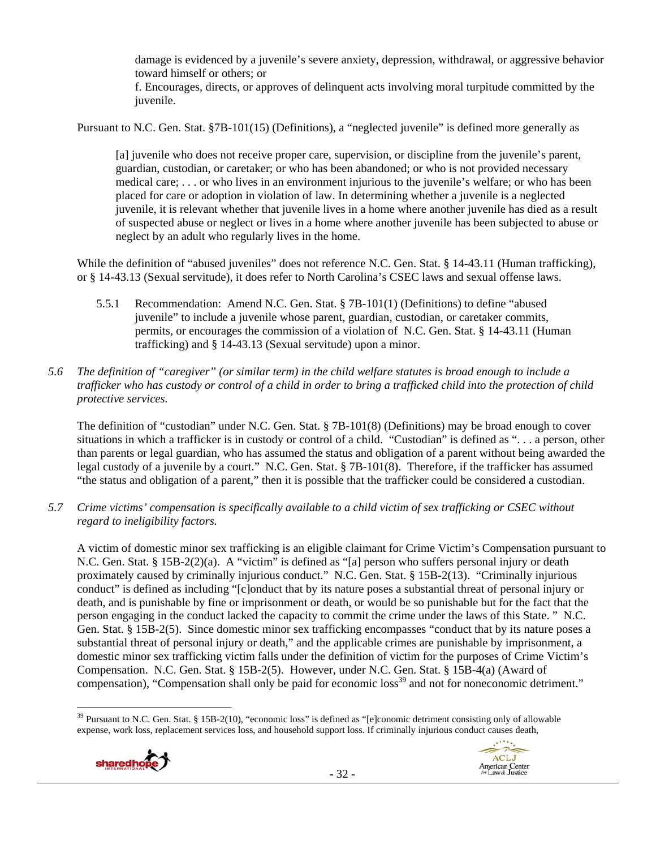damage is evidenced by a juvenile's severe anxiety, depression, withdrawal, or aggressive behavior toward himself or others; or

f. Encourages, directs, or approves of delinquent acts involving moral turpitude committed by the juvenile.

Pursuant to N.C. Gen. Stat. §7B-101(15) (Definitions), a "neglected juvenile" is defined more generally as

[a] juvenile who does not receive proper care, supervision, or discipline from the juvenile's parent, guardian, custodian, or caretaker; or who has been abandoned; or who is not provided necessary medical care; . . . or who lives in an environment injurious to the juvenile's welfare; or who has been placed for care or adoption in violation of law. In determining whether a juvenile is a neglected juvenile, it is relevant whether that juvenile lives in a home where another juvenile has died as a result of suspected abuse or neglect or lives in a home where another juvenile has been subjected to abuse or neglect by an adult who regularly lives in the home.

While the definition of "abused juveniles" does not reference N.C. Gen. Stat. § 14-43.11 (Human trafficking), or § 14-43.13 (Sexual servitude), it does refer to North Carolina's CSEC laws and sexual offense laws.

- 5.5.1 Recommendation: Amend N.C. Gen. Stat. § 7B-101(1) (Definitions) to define "abused juvenile" to include a juvenile whose parent, guardian, custodian, or caretaker commits, permits, or encourages the commission of a violation of N.C. Gen. Stat. § 14-43.11 (Human trafficking) and § 14-43.13 (Sexual servitude) upon a minor.
- *5.6 The definition of "caregiver" (or similar term) in the child welfare statutes is broad enough to include a trafficker who has custody or control of a child in order to bring a trafficked child into the protection of child protective services.*

The definition of "custodian" under N.C. Gen. Stat. § 7B-101(8) (Definitions) may be broad enough to cover situations in which a trafficker is in custody or control of a child. "Custodian" is defined as ". . . a person, other than parents or legal guardian, who has assumed the status and obligation of a parent without being awarded the legal custody of a juvenile by a court." N.C. Gen. Stat. § 7B-101(8). Therefore, if the trafficker has assumed "the status and obligation of a parent," then it is possible that the trafficker could be considered a custodian.

*5.7 Crime victims' compensation is specifically available to a child victim of sex trafficking or CSEC without regard to ineligibility factors.* 

A victim of domestic minor sex trafficking is an eligible claimant for Crime Victim's Compensation pursuant to N.C. Gen. Stat. § 15B-2(2)(a). A "victim" is defined as "[a] person who suffers personal injury or death proximately caused by criminally injurious conduct." N.C. Gen. Stat. § 15B-2(13). "Criminally injurious conduct" is defined as including "[c]onduct that by its nature poses a substantial threat of personal injury or death, and is punishable by fine or imprisonment or death, or would be so punishable but for the fact that the person engaging in the conduct lacked the capacity to commit the crime under the laws of this State. " N.C. Gen. Stat. § 15B-2(5). Since domestic minor sex trafficking encompasses "conduct that by its nature poses a substantial threat of personal injury or death," and the applicable crimes are punishable by imprisonment, a domestic minor sex trafficking victim falls under the definition of victim for the purposes of Crime Victim's Compensation. N.C. Gen. Stat. § 15B-2(5). However, under N.C. Gen. Stat. § 15B-4(a) (Award of compensation), "Compensation shall only be paid for economic loss<sup>39</sup> and not for noneconomic detriment."

 <sup>39</sup> Pursuant to N.C. Gen. Stat. § 15B-2(10), "economic loss" is defined as "[e]conomic detriment consisting only of allowable expense, work loss, replacement services loss, and household support loss. If criminally injurious conduct causes death,



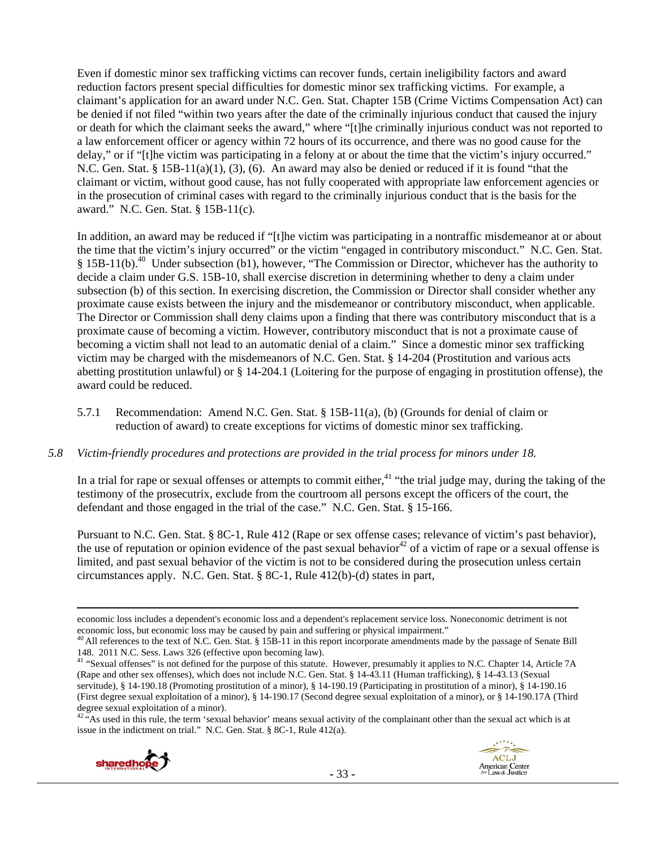Even if domestic minor sex trafficking victims can recover funds, certain ineligibility factors and award reduction factors present special difficulties for domestic minor sex trafficking victims. For example, a claimant's application for an award under N.C. Gen. Stat. Chapter 15B (Crime Victims Compensation Act) can be denied if not filed "within two years after the date of the criminally injurious conduct that caused the injury or death for which the claimant seeks the award," where "[t]he criminally injurious conduct was not reported to a law enforcement officer or agency within 72 hours of its occurrence, and there was no good cause for the delay," or if "[t]he victim was participating in a felony at or about the time that the victim's injury occurred." N.C. Gen. Stat. §  $15B-11(a)(1)$ ,  $(3)$ ,  $(6)$ . An award may also be denied or reduced if it is found "that the claimant or victim, without good cause, has not fully cooperated with appropriate law enforcement agencies or in the prosecution of criminal cases with regard to the criminally injurious conduct that is the basis for the award." N.C. Gen. Stat. § 15B-11(c).

In addition, an award may be reduced if "[t]he victim was participating in a nontraffic misdemeanor at or about the time that the victim's injury occurred" or the victim "engaged in contributory misconduct." N.C. Gen. Stat. § 15B-11(b).40 Under subsection (b1), however, "The Commission or Director, whichever has the authority to decide a claim under G.S. 15B-10, shall exercise discretion in determining whether to deny a claim under subsection (b) of this section. In exercising discretion, the Commission or Director shall consider whether any proximate cause exists between the injury and the misdemeanor or contributory misconduct, when applicable. The Director or Commission shall deny claims upon a finding that there was contributory misconduct that is a proximate cause of becoming a victim. However, contributory misconduct that is not a proximate cause of becoming a victim shall not lead to an automatic denial of a claim." Since a domestic minor sex trafficking victim may be charged with the misdemeanors of N.C. Gen. Stat. § 14-204 (Prostitution and various acts abetting prostitution unlawful) or § 14-204.1 (Loitering for the purpose of engaging in prostitution offense), the award could be reduced.

5.7.1 Recommendation: Amend N.C. Gen. Stat. § 15B-11(a), (b) (Grounds for denial of claim or reduction of award) to create exceptions for victims of domestic minor sex trafficking.

#### *5.8 Victim-friendly procedures and protections are provided in the trial process for minors under 18.*

In a trial for rape or sexual offenses or attempts to commit either, $41$  "the trial judge may, during the taking of the testimony of the prosecutrix, exclude from the courtroom all persons except the officers of the court, the defendant and those engaged in the trial of the case." N.C. Gen. Stat. § 15-166.

Pursuant to N.C. Gen. Stat. § 8C-1, Rule 412 (Rape or sex offense cases; relevance of victim's past behavior), the use of reputation or opinion evidence of the past sexual behavior<sup>42</sup> of a victim of rape or a sexual offense is limited, and past sexual behavior of the victim is not to be considered during the prosecution unless certain circumstances apply. N.C. Gen. Stat. § 8C-1, Rule 412(b)-(d) states in part,

<u> Andrewski politika (za obrazu pod predsjednika u predsjednika u predsjednika u predsjednika (za obrazu pod p</u>

 $42\pi$ As used in this rule, the term 'sexual behavior' means sexual activity of the complainant other than the sexual act which is at issue in the indictment on trial." N.C. Gen. Stat. § 8C-1, Rule 412(a).





economic loss includes a dependent's economic loss and a dependent's replacement service loss. Noneconomic detriment is not

economic loss, but economic loss may be caused by pain and suffering or physical impairment."<br><sup>40</sup> All references to the text of N.C. Gen. Stat. § 15B-11 in this report incorporate amendments made by the passage of Senate

<sup>&</sup>lt;sup>41</sup> "Sexual offenses" is not defined for the purpose of this statute. However, presumably it applies to N.C. Chapter 14, Article 7A (Rape and other sex offenses), which does not include N.C. Gen. Stat. § 14-43.11 (Human trafficking), § 14-43.13 (Sexual servitude), § 14-190.18 (Promoting prostitution of a minor), § 14-190.19 (Participating in prostitution of a minor), § 14-190.16 (First degree sexual exploitation of a minor), § 14-190.17 (Second degree sexual exploitation of a minor), or § 14-190.17A (Third degree sexual exploitation of a minor).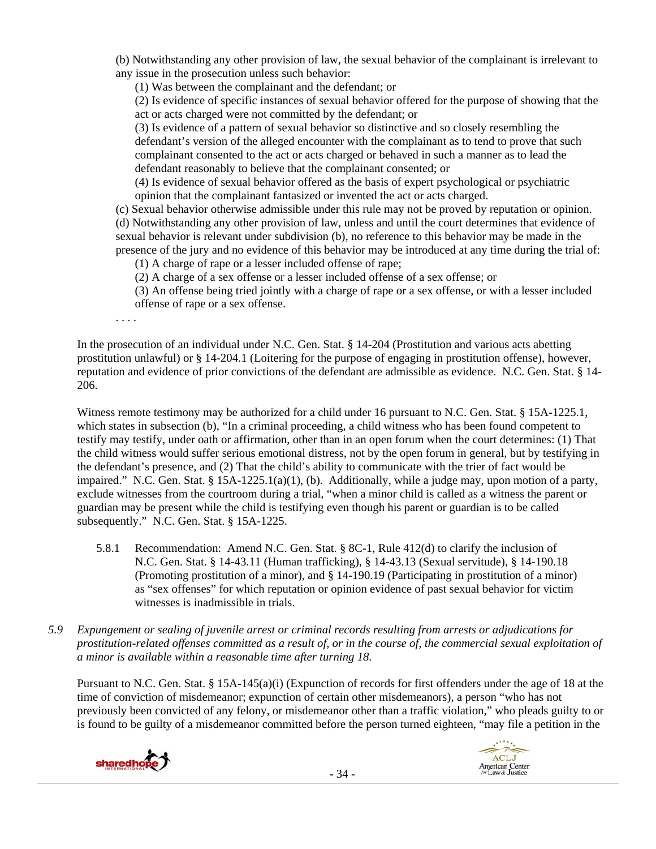(b) Notwithstanding any other provision of law, the sexual behavior of the complainant is irrelevant to any issue in the prosecution unless such behavior:

(1) Was between the complainant and the defendant; or

(2) Is evidence of specific instances of sexual behavior offered for the purpose of showing that the act or acts charged were not committed by the defendant; or

(3) Is evidence of a pattern of sexual behavior so distinctive and so closely resembling the defendant's version of the alleged encounter with the complainant as to tend to prove that such complainant consented to the act or acts charged or behaved in such a manner as to lead the defendant reasonably to believe that the complainant consented; or

(4) Is evidence of sexual behavior offered as the basis of expert psychological or psychiatric opinion that the complainant fantasized or invented the act or acts charged.

(c) Sexual behavior otherwise admissible under this rule may not be proved by reputation or opinion. (d) Notwithstanding any other provision of law, unless and until the court determines that evidence of sexual behavior is relevant under subdivision (b), no reference to this behavior may be made in the presence of the jury and no evidence of this behavior may be introduced at any time during the trial of:

(1) A charge of rape or a lesser included offense of rape;

(2) A charge of a sex offense or a lesser included offense of a sex offense; or

(3) An offense being tried jointly with a charge of rape or a sex offense, or with a lesser included offense of rape or a sex offense.

. . . .

In the prosecution of an individual under N.C. Gen. Stat. § 14-204 (Prostitution and various acts abetting prostitution unlawful) or § 14-204.1 (Loitering for the purpose of engaging in prostitution offense), however, reputation and evidence of prior convictions of the defendant are admissible as evidence. N.C. Gen. Stat. § 14- 206.

Witness remote testimony may be authorized for a child under 16 pursuant to N.C. Gen. Stat. § 15A-1225.1, which states in subsection (b), "In a criminal proceeding, a child witness who has been found competent to testify may testify, under oath or affirmation, other than in an open forum when the court determines: (1) That the child witness would suffer serious emotional distress, not by the open forum in general, but by testifying in the defendant's presence, and (2) That the child's ability to communicate with the trier of fact would be impaired." N.C. Gen. Stat. § 15A-1225.1(a)(1), (b). Additionally, while a judge may, upon motion of a party, exclude witnesses from the courtroom during a trial, "when a minor child is called as a witness the parent or guardian may be present while the child is testifying even though his parent or guardian is to be called subsequently." N.C. Gen. Stat. § 15A-1225.

- 5.8.1 Recommendation: Amend N.C. Gen. Stat. § 8C-1, Rule 412(d) to clarify the inclusion of N.C. Gen. Stat. § 14-43.11 (Human trafficking), § 14-43.13 (Sexual servitude), § 14-190.18 (Promoting prostitution of a minor), and § 14-190.19 (Participating in prostitution of a minor) as "sex offenses" for which reputation or opinion evidence of past sexual behavior for victim witnesses is inadmissible in trials.
- *5.9 Expungement or sealing of juvenile arrest or criminal records resulting from arrests or adjudications for prostitution-related offenses committed as a result of, or in the course of, the commercial sexual exploitation of a minor is available within a reasonable time after turning 18.*

Pursuant to N.C. Gen. Stat. § 15A-145(a)(i) (Expunction of records for first offenders under the age of 18 at the time of conviction of misdemeanor; expunction of certain other misdemeanors), a person "who has not previously been convicted of any felony, or misdemeanor other than a traffic violation," who pleads guilty to or is found to be guilty of a misdemeanor committed before the person turned eighteen, "may file a petition in the



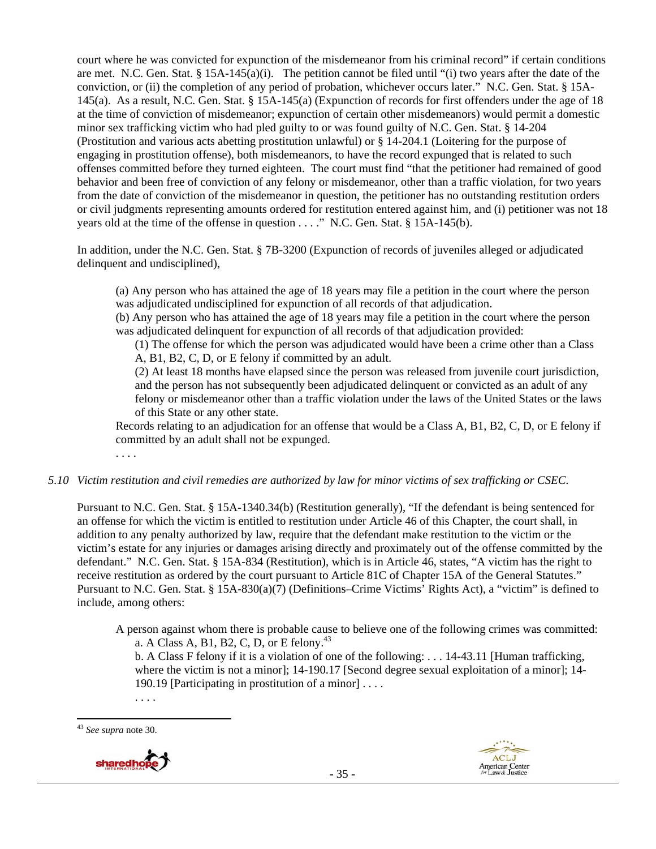court where he was convicted for expunction of the misdemeanor from his criminal record" if certain conditions are met. N.C. Gen. Stat. § 15A-145(a)(i). The petition cannot be filed until "(i) two years after the date of the conviction, or (ii) the completion of any period of probation, whichever occurs later." N.C. Gen. Stat. § 15A-145(a). As a result, N.C. Gen. Stat. § 15A-145(a) (Expunction of records for first offenders under the age of 18 at the time of conviction of misdemeanor; expunction of certain other misdemeanors) would permit a domestic minor sex trafficking victim who had pled guilty to or was found guilty of N.C. Gen. Stat. § 14-204 (Prostitution and various acts abetting prostitution unlawful) or § 14-204.1 (Loitering for the purpose of engaging in prostitution offense), both misdemeanors, to have the record expunged that is related to such offenses committed before they turned eighteen. The court must find "that the petitioner had remained of good behavior and been free of conviction of any felony or misdemeanor, other than a traffic violation, for two years from the date of conviction of the misdemeanor in question, the petitioner has no outstanding restitution orders or civil judgments representing amounts ordered for restitution entered against him, and (i) petitioner was not 18 years old at the time of the offense in question . . . ." N.C. Gen. Stat. § 15A-145(b).

In addition, under the N.C. Gen. Stat. § 7B-3200 (Expunction of records of juveniles alleged or adjudicated delinquent and undisciplined),

(a) Any person who has attained the age of 18 years may file a petition in the court where the person was adjudicated undisciplined for expunction of all records of that adjudication.

(b) Any person who has attained the age of 18 years may file a petition in the court where the person was adjudicated delinquent for expunction of all records of that adjudication provided:

(1) The offense for which the person was adjudicated would have been a crime other than a Class A, B1, B2, C, D, or E felony if committed by an adult.

(2) At least 18 months have elapsed since the person was released from juvenile court jurisdiction, and the person has not subsequently been adjudicated delinquent or convicted as an adult of any felony or misdemeanor other than a traffic violation under the laws of the United States or the laws of this State or any other state.

Records relating to an adjudication for an offense that would be a Class A, B1, B2, C, D, or E felony if committed by an adult shall not be expunged.

. . . .

#### *5.10 Victim restitution and civil remedies are authorized by law for minor victims of sex trafficking or CSEC.*

Pursuant to N.C. Gen. Stat. § 15A-1340.34(b) (Restitution generally), "If the defendant is being sentenced for an offense for which the victim is entitled to restitution under Article 46 of this Chapter, the court shall, in addition to any penalty authorized by law, require that the defendant make restitution to the victim or the victim's estate for any injuries or damages arising directly and proximately out of the offense committed by the defendant." N.C. Gen. Stat. § 15A-834 (Restitution), which is in Article 46, states, "A victim has the right to receive restitution as ordered by the court pursuant to Article 81C of Chapter 15A of the General Statutes." Pursuant to N.C. Gen. Stat. § 15A-830(a)(7) (Definitions–Crime Victims' Rights Act), a "victim" is defined to include, among others:

A person against whom there is probable cause to believe one of the following crimes was committed: a. A Class A, B1, B2, C, D, or E felony.<sup>43</sup>

b. A Class F felony if it is a violation of one of the following: . . . 14-43.11 [Human trafficking, where the victim is not a minor]; 14-190.17 [Second degree sexual exploitation of a minor]; 14-190.19 [Participating in prostitution of a minor] . . . .

. . . .

<sup>43</sup> *See supra* note 30.



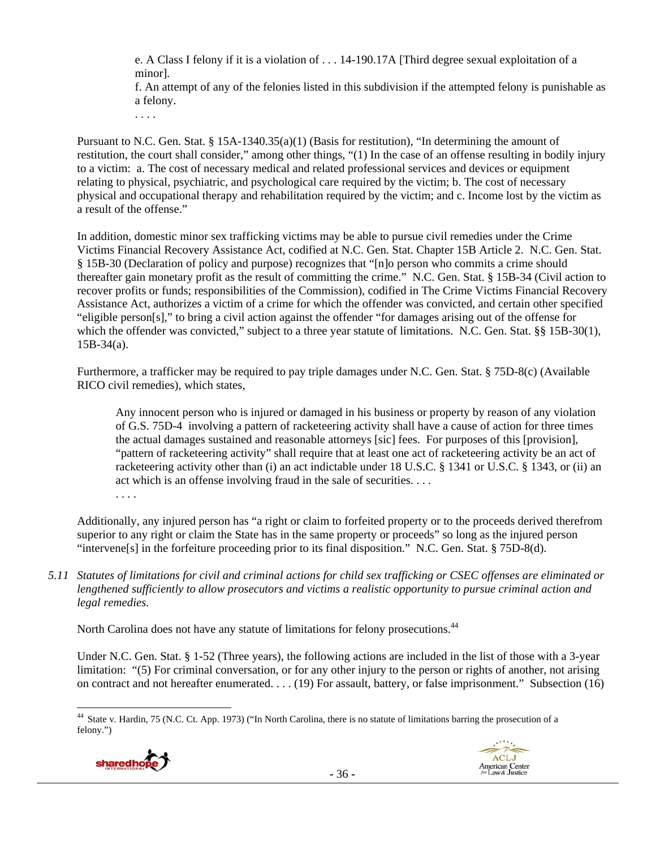e. A Class I felony if it is a violation of . . . 14-190.17A [Third degree sexual exploitation of a minor].

f. An attempt of any of the felonies listed in this subdivision if the attempted felony is punishable as a felony.

. . . .

Pursuant to N.C. Gen. Stat. § 15A-1340.35(a)(1) (Basis for restitution), "In determining the amount of restitution, the court shall consider," among other things, "(1) In the case of an offense resulting in bodily injury to a victim: a. The cost of necessary medical and related professional services and devices or equipment relating to physical, psychiatric, and psychological care required by the victim; b. The cost of necessary physical and occupational therapy and rehabilitation required by the victim; and c. Income lost by the victim as a result of the offense."

In addition, domestic minor sex trafficking victims may be able to pursue civil remedies under the Crime Victims Financial Recovery Assistance Act, codified at N.C. Gen. Stat. Chapter 15B Article 2. N.C. Gen. Stat. § 15B-30 (Declaration of policy and purpose) recognizes that "[n]o person who commits a crime should thereafter gain monetary profit as the result of committing the crime." N.C. Gen. Stat. § 15B-34 (Civil action to recover profits or funds; responsibilities of the Commission), codified in The Crime Victims Financial Recovery Assistance Act, authorizes a victim of a crime for which the offender was convicted, and certain other specified "eligible person[s]," to bring a civil action against the offender "for damages arising out of the offense for which the offender was convicted," subject to a three year statute of limitations. N.C. Gen. Stat. §§ 15B-30(1),  $15B-34(a)$ .

Furthermore, a trafficker may be required to pay triple damages under N.C. Gen. Stat. § 75D-8(c) (Available RICO civil remedies), which states,

Any innocent person who is injured or damaged in his business or property by reason of any violation of G.S. 75D-4 involving a pattern of racketeering activity shall have a cause of action for three times the actual damages sustained and reasonable attorneys [sic] fees. For purposes of this [provision], "pattern of racketeering activity" shall require that at least one act of racketeering activity be an act of racketeering activity other than (i) an act indictable under 18 U.S.C. § 1341 or U.S.C. § 1343, or (ii) an act which is an offense involving fraud in the sale of securities. . . .

. . . .

Additionally, any injured person has "a right or claim to forfeited property or to the proceeds derived therefrom superior to any right or claim the State has in the same property or proceeds" so long as the injured person "intervene[s] in the forfeiture proceeding prior to its final disposition." N.C. Gen. Stat. § 75D-8(d).

*5.11 Statutes of limitations for civil and criminal actions for child sex trafficking or CSEC offenses are eliminated or lengthened sufficiently to allow prosecutors and victims a realistic opportunity to pursue criminal action and legal remedies.* 

North Carolina does not have any statute of limitations for felony prosecutions.<sup>44</sup>

Under N.C. Gen. Stat. § 1-52 (Three years), the following actions are included in the list of those with a 3-year limitation: "(5) For criminal conversation, or for any other injury to the person or rights of another, not arising on contract and not hereafter enumerated. . . . (19) For assault, battery, or false imprisonment." Subsection (16)

 44 State v. Hardin, 75 (N.C. Ct. App. 1973) ("In North Carolina, there is no statute of limitations barring the prosecution of a felony.")



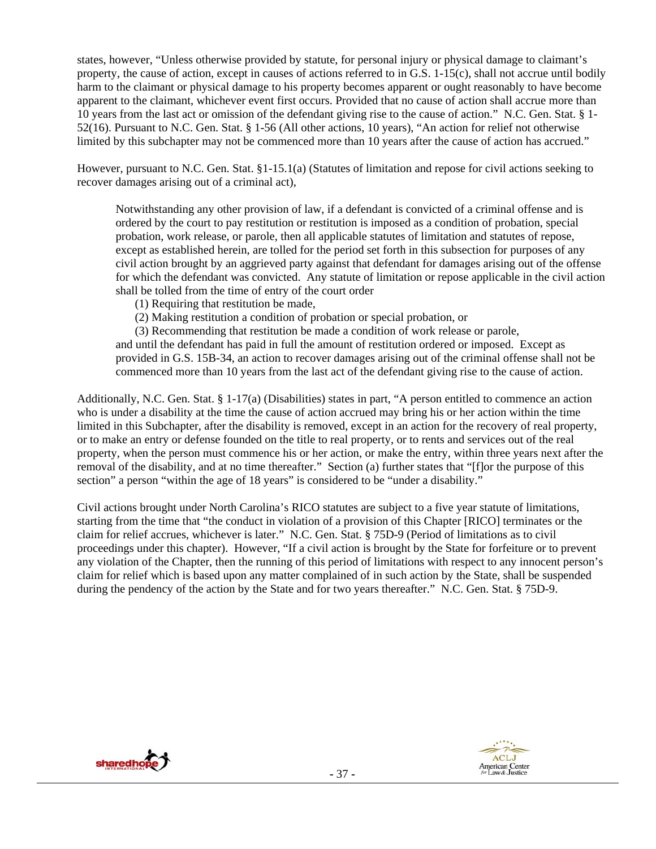states, however, "Unless otherwise provided by statute, for personal injury or physical damage to claimant's property, the cause of action, except in causes of actions referred to in G.S. 1-15(c), shall not accrue until bodily harm to the claimant or physical damage to his property becomes apparent or ought reasonably to have become apparent to the claimant, whichever event first occurs. Provided that no cause of action shall accrue more than 10 years from the last act or omission of the defendant giving rise to the cause of action." N.C. Gen. Stat. § 1- 52(16). Pursuant to N.C. Gen. Stat. § 1-56 (All other actions, 10 years), "An action for relief not otherwise limited by this subchapter may not be commenced more than 10 years after the cause of action has accrued."

However, pursuant to N.C. Gen. Stat. §1-15.1(a) (Statutes of limitation and repose for civil actions seeking to recover damages arising out of a criminal act),

Notwithstanding any other provision of law, if a defendant is convicted of a criminal offense and is ordered by the court to pay restitution or restitution is imposed as a condition of probation, special probation, work release, or parole, then all applicable statutes of limitation and statutes of repose, except as established herein, are tolled for the period set forth in this subsection for purposes of any civil action brought by an aggrieved party against that defendant for damages arising out of the offense for which the defendant was convicted. Any statute of limitation or repose applicable in the civil action shall be tolled from the time of entry of the court order

(1) Requiring that restitution be made,

(2) Making restitution a condition of probation or special probation, or

(3) Recommending that restitution be made a condition of work release or parole,

and until the defendant has paid in full the amount of restitution ordered or imposed. Except as provided in G.S. 15B-34, an action to recover damages arising out of the criminal offense shall not be commenced more than 10 years from the last act of the defendant giving rise to the cause of action.

Additionally, N.C. Gen. Stat. § 1-17(a) (Disabilities) states in part, "A person entitled to commence an action who is under a disability at the time the cause of action accrued may bring his or her action within the time limited in this Subchapter, after the disability is removed, except in an action for the recovery of real property, or to make an entry or defense founded on the title to real property, or to rents and services out of the real property, when the person must commence his or her action, or make the entry, within three years next after the removal of the disability, and at no time thereafter." Section (a) further states that "[f]or the purpose of this section" a person "within the age of 18 years" is considered to be "under a disability."

Civil actions brought under North Carolina's RICO statutes are subject to a five year statute of limitations, starting from the time that "the conduct in violation of a provision of this Chapter [RICO] terminates or the claim for relief accrues, whichever is later." N.C. Gen. Stat. § 75D-9 (Period of limitations as to civil proceedings under this chapter). However, "If a civil action is brought by the State for forfeiture or to prevent any violation of the Chapter, then the running of this period of limitations with respect to any innocent person's claim for relief which is based upon any matter complained of in such action by the State, shall be suspended during the pendency of the action by the State and for two years thereafter." N.C. Gen. Stat. § 75D-9.



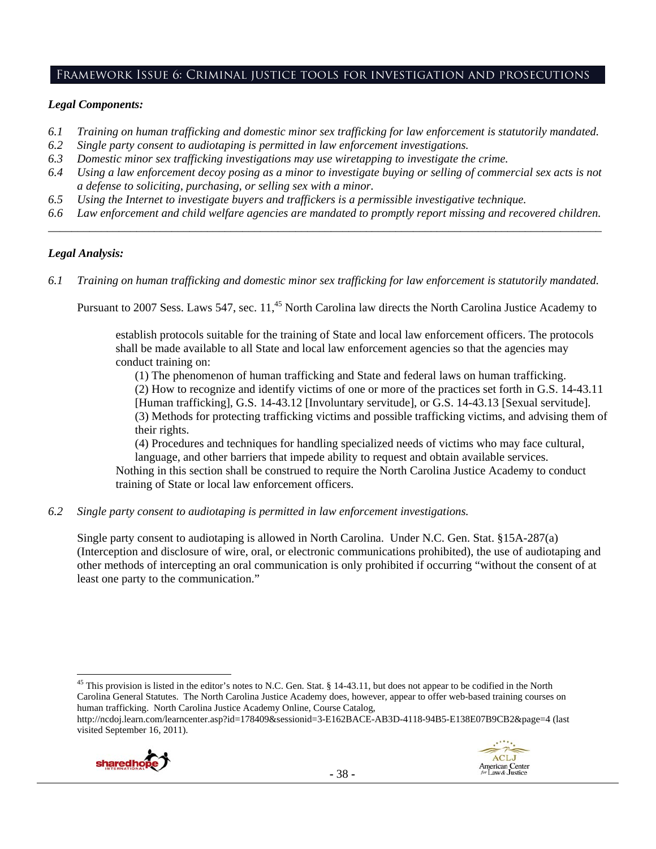# Framework Issue 6: Criminal justice tools for investigation and prosecutions

#### *Legal Components:*

- *6.1 Training on human trafficking and domestic minor sex trafficking for law enforcement is statutorily mandated.*
- *6.2 Single party consent to audiotaping is permitted in law enforcement investigations.*
- *6.3 Domestic minor sex trafficking investigations may use wiretapping to investigate the crime.*
- *6.4 Using a law enforcement decoy posing as a minor to investigate buying or selling of commercial sex acts is not a defense to soliciting, purchasing, or selling sex with a minor.*
- *6.5 Using the Internet to investigate buyers and traffickers is a permissible investigative technique.*
- *6.6 Law enforcement and child welfare agencies are mandated to promptly report missing and recovered children. \_\_\_\_\_\_\_\_\_\_\_\_\_\_\_\_\_\_\_\_\_\_\_\_\_\_\_\_\_\_\_\_\_\_\_\_\_\_\_\_\_\_\_\_\_\_\_\_\_\_\_\_\_\_\_\_\_\_\_\_\_\_\_\_\_\_\_\_\_\_\_\_\_\_\_\_\_\_\_\_\_\_\_\_\_\_\_\_\_\_\_\_\_\_*

#### *Legal Analysis:*

*6.1 Training on human trafficking and domestic minor sex trafficking for law enforcement is statutorily mandated.*

Pursuant to 2007 Sess. Laws 547, sec. 11,<sup>45</sup> North Carolina law directs the North Carolina Justice Academy to

establish protocols suitable for the training of State and local law enforcement officers. The protocols shall be made available to all State and local law enforcement agencies so that the agencies may conduct training on:

(1) The phenomenon of human trafficking and State and federal laws on human trafficking.

(2) How to recognize and identify victims of one or more of the practices set forth in G.S. 14-43.11 [Human trafficking], G.S. 14-43.12 [Involuntary servitude], or G.S. 14-43.13 [Sexual servitude]. (3) Methods for protecting trafficking victims and possible trafficking victims, and advising them of their rights.

(4) Procedures and techniques for handling specialized needs of victims who may face cultural, language, and other barriers that impede ability to request and obtain available services.

Nothing in this section shall be construed to require the North Carolina Justice Academy to conduct training of State or local law enforcement officers.

*6.2 Single party consent to audiotaping is permitted in law enforcement investigations.* 

Single party consent to audiotaping is allowed in North Carolina. Under N.C. Gen. Stat. §15A-287(a) (Interception and disclosure of wire, oral, or electronic communications prohibited), the use of audiotaping and other methods of intercepting an oral communication is only prohibited if occurring "without the consent of at least one party to the communication."

 <sup>45</sup> This provision is listed in the editor's notes to N.C. Gen. Stat. § 14-43.11, but does not appear to be codified in the North Carolina General Statutes. The North Carolina Justice Academy does, however, appear to offer web-based training courses on human trafficking. North Carolina Justice Academy Online, Course Catalog,

http://ncdoj.learn.com/learncenter.asp?id=178409&sessionid=3-E162BACE-AB3D-4118-94B5-E138E07B9CB2&page=4 (last visited September 16, 2011).

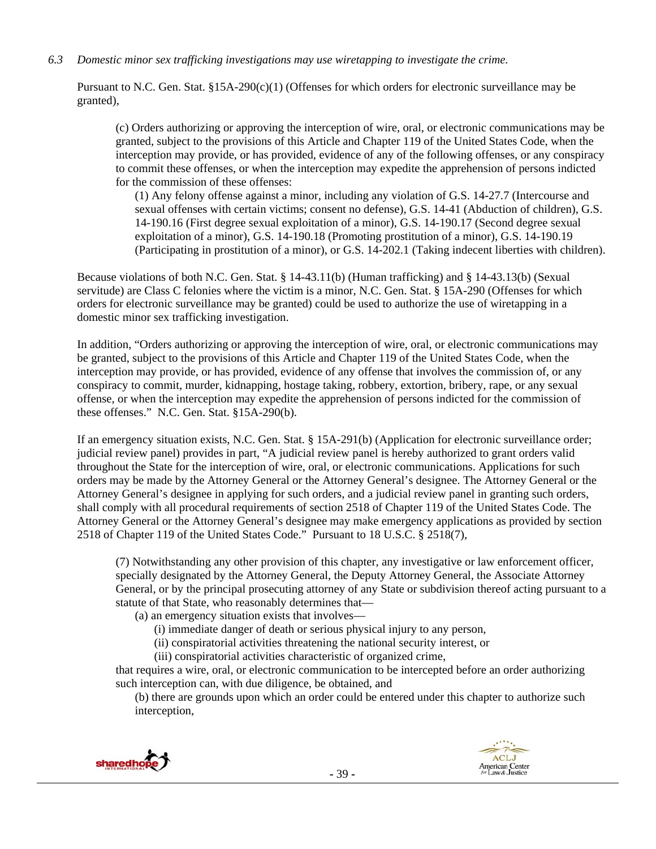*6.3 Domestic minor sex trafficking investigations may use wiretapping to investigate the crime.* 

Pursuant to N.C. Gen. Stat.  $\S15A-290(c)(1)$  (Offenses for which orders for electronic surveillance may be granted),

(c) Orders authorizing or approving the interception of wire, oral, or electronic communications may be granted, subject to the provisions of this Article and Chapter 119 of the United States Code, when the interception may provide, or has provided, evidence of any of the following offenses, or any conspiracy to commit these offenses, or when the interception may expedite the apprehension of persons indicted for the commission of these offenses:

(1) Any felony offense against a minor, including any violation of G.S. 14-27.7 (Intercourse and sexual offenses with certain victims; consent no defense), G.S. 14-41 (Abduction of children), G.S. 14-190.16 (First degree sexual exploitation of a minor), G.S. 14-190.17 (Second degree sexual exploitation of a minor), G.S. 14-190.18 (Promoting prostitution of a minor), G.S. 14-190.19 (Participating in prostitution of a minor), or G.S. 14-202.1 (Taking indecent liberties with children).

Because violations of both N.C. Gen. Stat. § 14-43.11(b) (Human trafficking) and § 14-43.13(b) (Sexual servitude) are Class C felonies where the victim is a minor, N.C. Gen. Stat. § 15A-290 (Offenses for which orders for electronic surveillance may be granted) could be used to authorize the use of wiretapping in a domestic minor sex trafficking investigation.

In addition, "Orders authorizing or approving the interception of wire, oral, or electronic communications may be granted, subject to the provisions of this Article and Chapter 119 of the United States Code, when the interception may provide, or has provided, evidence of any offense that involves the commission of, or any conspiracy to commit, murder, kidnapping, hostage taking, robbery, extortion, bribery, rape, or any sexual offense, or when the interception may expedite the apprehension of persons indicted for the commission of these offenses." N.C. Gen. Stat. §15A-290(b).

If an emergency situation exists, N.C. Gen. Stat. § 15A-291(b) (Application for electronic surveillance order; judicial review panel) provides in part, "A judicial review panel is hereby authorized to grant orders valid throughout the State for the interception of wire, oral, or electronic communications. Applications for such orders may be made by the Attorney General or the Attorney General's designee. The Attorney General or the Attorney General's designee in applying for such orders, and a judicial review panel in granting such orders, shall comply with all procedural requirements of section 2518 of Chapter 119 of the United States Code. The Attorney General or the Attorney General's designee may make emergency applications as provided by section 2518 of Chapter 119 of the United States Code." Pursuant to 18 U.S.C. § 2518(7),

(7) Notwithstanding any other provision of this chapter, any investigative or law enforcement officer, specially designated by the Attorney General, the Deputy Attorney General, the Associate Attorney General, or by the principal prosecuting attorney of any State or subdivision thereof acting pursuant to a statute of that State, who reasonably determines that—

(a) an emergency situation exists that involves—

(i) immediate danger of death or serious physical injury to any person,

(ii) conspiratorial activities threatening the national security interest, or

(iii) conspiratorial activities characteristic of organized crime,

that requires a wire, oral, or electronic communication to be intercepted before an order authorizing such interception can, with due diligence, be obtained, and

(b) there are grounds upon which an order could be entered under this chapter to authorize such interception,



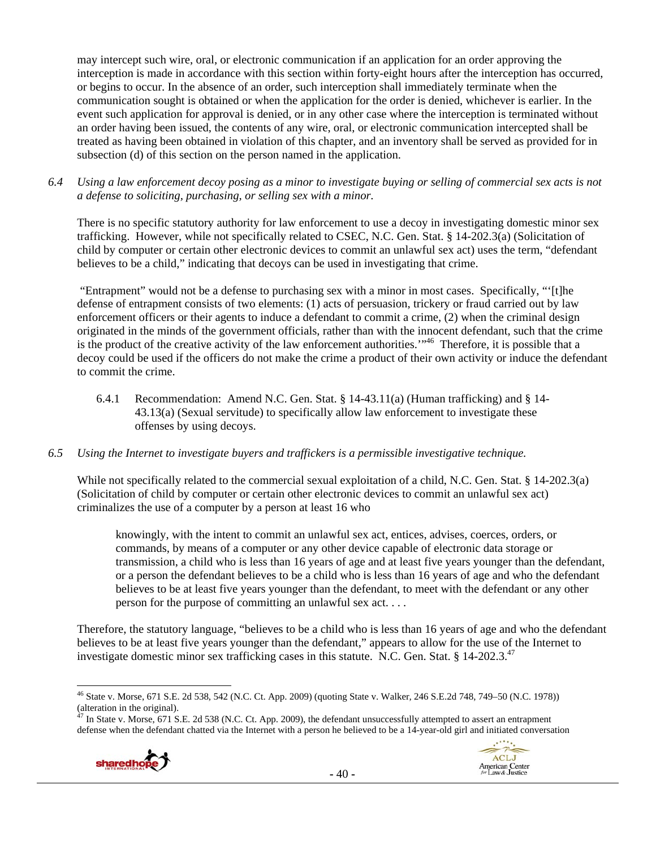may intercept such wire, oral, or electronic communication if an application for an order approving the interception is made in accordance with this section within forty-eight hours after the interception has occurred, or begins to occur. In the absence of an order, such interception shall immediately terminate when the communication sought is obtained or when the application for the order is denied, whichever is earlier. In the event such application for approval is denied, or in any other case where the interception is terminated without an order having been issued, the contents of any wire, oral, or electronic communication intercepted shall be treated as having been obtained in violation of this chapter, and an inventory shall be served as provided for in subsection (d) of this section on the person named in the application.

*6.4 Using a law enforcement decoy posing as a minor to investigate buying or selling of commercial sex acts is not a defense to soliciting, purchasing, or selling sex with a minor.* 

There is no specific statutory authority for law enforcement to use a decoy in investigating domestic minor sex trafficking. However, while not specifically related to CSEC, N.C. Gen. Stat. § 14-202.3(a) (Solicitation of child by computer or certain other electronic devices to commit an unlawful sex act) uses the term, "defendant believes to be a child," indicating that decoys can be used in investigating that crime.

 "Entrapment" would not be a defense to purchasing sex with a minor in most cases. Specifically, "'[t]he defense of entrapment consists of two elements: (1) acts of persuasion, trickery or fraud carried out by law enforcement officers or their agents to induce a defendant to commit a crime, (2) when the criminal design originated in the minds of the government officials, rather than with the innocent defendant, such that the crime is the product of the creative activity of the law enforcement authorities."<sup>46</sup> Therefore, it is possible that a decoy could be used if the officers do not make the crime a product of their own activity or induce the defendant to commit the crime.

6.4.1 Recommendation: Amend N.C. Gen. Stat. § 14-43.11(a) (Human trafficking) and § 14- 43.13(a) (Sexual servitude) to specifically allow law enforcement to investigate these offenses by using decoys.

#### *6.5 Using the Internet to investigate buyers and traffickers is a permissible investigative technique.*

While not specifically related to the commercial sexual exploitation of a child, N.C. Gen. Stat. § 14-202.3(a) (Solicitation of child by computer or certain other electronic devices to commit an unlawful sex act) criminalizes the use of a computer by a person at least 16 who

knowingly, with the intent to commit an unlawful sex act, entices, advises, coerces, orders, or commands, by means of a computer or any other device capable of electronic data storage or transmission, a child who is less than 16 years of age and at least five years younger than the defendant, or a person the defendant believes to be a child who is less than 16 years of age and who the defendant believes to be at least five years younger than the defendant, to meet with the defendant or any other person for the purpose of committing an unlawful sex act. . . .

Therefore, the statutory language, "believes to be a child who is less than 16 years of age and who the defendant believes to be at least five years younger than the defendant," appears to allow for the use of the Internet to investigate domestic minor sex trafficking cases in this statute. N.C. Gen. Stat. § 14-202.3.<sup>47</sup>

In State v. Morse, 671 S.E. 2d 538 (N.C. Ct. App. 2009), the defendant unsuccessfully attempted to assert an entrapment defense when the defendant chatted via the Internet with a person he believed to be a 14-year-old girl and initiated conversation





<sup>46</sup> State v. Morse, 671 S.E. 2d 538, 542 (N.C. Ct. App. 2009) (quoting State v. Walker*,* 246 S.E.2d 748, 749–50 (N.C. 1978)) (alteration in the original).